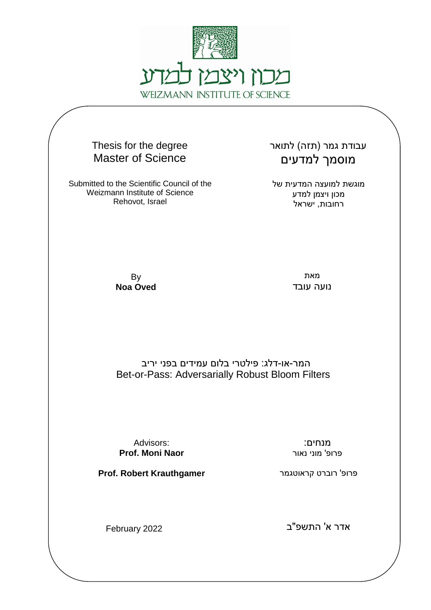

Thesis for the degree Master of Science

Submitted to the Scientific Council of the Weizmann Institute of Science Rehovot, Israel

עבודת גמר (תזה) לתואר מוסמך למדעים

מוגשת למועצה המדעית של מכון ויצמן למדע רחובות, ישראל

By **Noa Oved**

מאת נועה עובד

המר-או-דלג: פילטרי בלום עמידים בפני יריב Bet-or-Pass: Adversarially Robust Bloom Filters

Advisors: **Prof. Moni Naor**

מנחים: פרופ' מוני נאור

**Prof. Robert Krauthgamer**

פרופ' רוברט קראוטגמר

February 2022

אדר א' התשפ"ב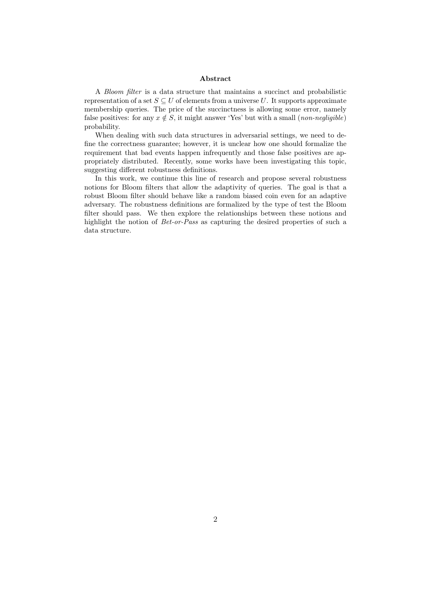#### Abstract

A Bloom filter is a data structure that maintains a succinct and probabilistic representation of a set  $S \subseteq U$  of elements from a universe U. It supports approximate membership queries. The price of the succinctness is allowing some error, namely false positives: for any  $x \notin S$ , it might answer 'Yes' but with a small (non-negligible) probability.

When dealing with such data structures in adversarial settings, we need to define the correctness guarantee; however, it is unclear how one should formalize the requirement that bad events happen infrequently and those false positives are appropriately distributed. Recently, some works have been investigating this topic, suggesting different robustness definitions.

In this work, we continue this line of research and propose several robustness notions for Bloom filters that allow the adaptivity of queries. The goal is that a robust Bloom filter should behave like a random biased coin even for an adaptive adversary. The robustness definitions are formalized by the type of test the Bloom filter should pass. We then explore the relationships between these notions and highlight the notion of Bet-or-Pass as capturing the desired properties of such a data structure.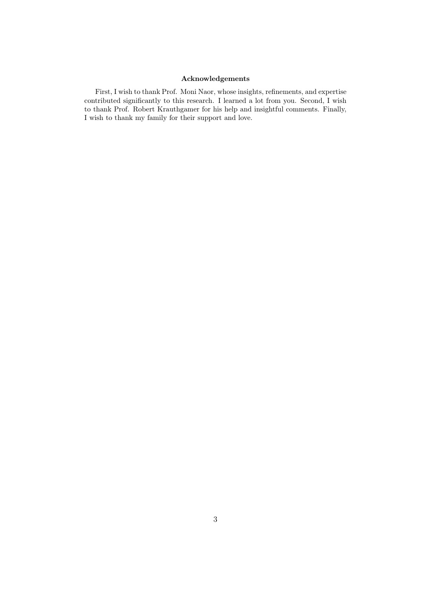## Acknowledgements

First, I wish to thank Prof. Moni Naor, whose insights, refinements, and expertise contributed significantly to this research. I learned a lot from you. Second, I wish to thank Prof. Robert Krauthgamer for his help and insightful comments. Finally, I wish to thank my family for their support and love.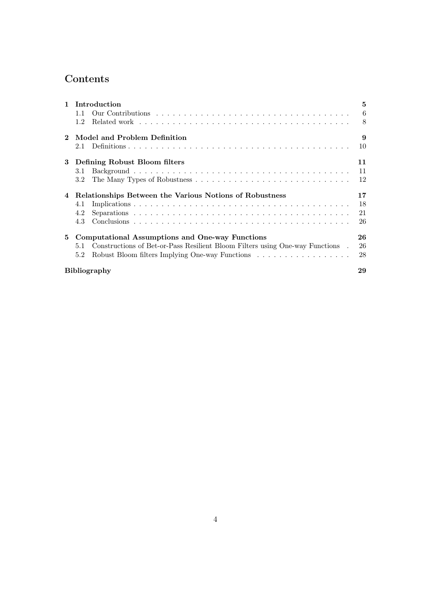# Contents

| $\mathbf{1}$ | Introduction                                                                         | 5  |
|--------------|--------------------------------------------------------------------------------------|----|
|              | 1.1                                                                                  | 6  |
|              | 1.2                                                                                  | 8  |
|              | Model and Problem Definition                                                         | 9  |
|              | 2.1                                                                                  | 10 |
| 3            | Defining Robust Bloom filters                                                        | 11 |
|              | 3.1                                                                                  | 11 |
|              | 3.2                                                                                  | 12 |
| 4            | Relationships Between the Various Notions of Robustness                              |    |
|              | 4.1                                                                                  | 18 |
|              | 4.2                                                                                  | 21 |
|              | 4.3                                                                                  | 26 |
| 5            | Computational Assumptions and One-way Functions                                      |    |
|              | Constructions of Bet-or-Pass Resilient Bloom Filters using One-way Functions.<br>5.1 | 26 |
|              |                                                                                      |    |
|              | 5.2                                                                                  | 28 |

# 4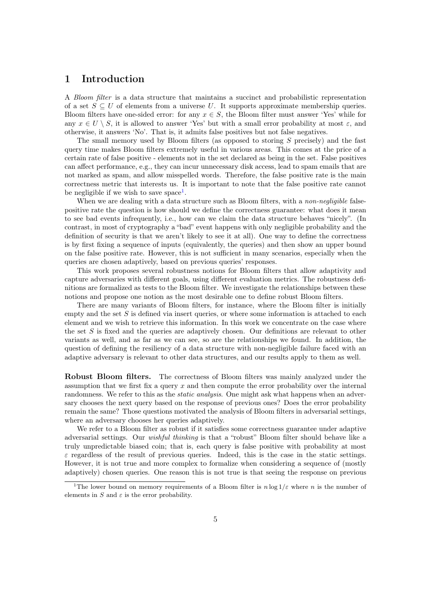# <span id="page-4-0"></span>1 Introduction

A Bloom filter is a data structure that maintains a succinct and probabilistic representation of a set  $S \subseteq U$  of elements from a universe U. It supports approximate membership queries. Bloom filters have one-sided error: for any  $x \in S$ , the Bloom filter must answer 'Yes' while for any  $x \in U \setminus S$ , it is allowed to answer 'Yes' but with a small error probability at most  $\varepsilon$ , and otherwise, it answers 'No'. That is, it admits false positives but not false negatives.

The small memory used by Bloom filters (as opposed to storing  $S$  precisely) and the fast query time makes Bloom filters extremely useful in various areas. This comes at the price of a certain rate of false positive - elements not in the set declared as being in the set. False positives can affect performance, e.g., they can incur unnecessary disk access, lead to spam emails that are not marked as spam, and allow misspelled words. Therefore, the false positive rate is the main correctness metric that interests us. It is important to note that the false positive rate cannot be negligible if we wish to save space<sup>[1](#page-4-1)</sup>.

When we are dealing with a data structure such as Bloom filters, with a *non-negligible* falsepositive rate the question is how should we define the correctness guarantee: what does it mean to see bad events infrequently, i.e., how can we claim the data structure behaves "nicely". (In contrast, in most of cryptography a "bad" event happens with only negligible probability and the definition of security is that we aren't likely to see it at all). One way to define the correctness is by first fixing a sequence of inputs (equivalently, the queries) and then show an upper bound on the false positive rate. However, this is not sufficient in many scenarios, especially when the queries are chosen adaptively, based on previous queries' responses.

This work proposes several robustness notions for Bloom filters that allow adaptivity and capture adversaries with different goals, using different evaluation metrics. The robustness definitions are formalized as tests to the Bloom filter. We investigate the relationships between these notions and propose one notion as the most desirable one to define robust Bloom filters.

There are many variants of Bloom filters, for instance, where the Bloom filter is initially empty and the set  $S$  is defined via insert queries, or where some information is attached to each element and we wish to retrieve this information. In this work we concentrate on the case where the set S is fixed and the queries are adaptively chosen. Our definitions are relevant to other variants as well, and as far as we can see, so are the relationships we found. In addition, the question of defining the resiliency of a data structure with non-negligible failure faced with an adaptive adversary is relevant to other data structures, and our results apply to them as well.

Robust Bloom filters. The correctness of Bloom filters was mainly analyzed under the assumption that we first fix a query x and then compute the error probability over the internal randomness. We refer to this as the *static analysis*. One might ask what happens when an adversary chooses the next query based on the response of previous ones? Does the error probability remain the same? Those questions motivated the analysis of Bloom filters in adversarial settings, where an adversary chooses her queries adaptively.

We refer to a Bloom filter as robust if it satisfies some correctness guarantee under adaptive adversarial settings. Our wishful thinking is that a "robust" Bloom filter should behave like a truly unpredictable biased coin; that is, each query is false positive with probability at most  $\varepsilon$  regardless of the result of previous queries. Indeed, this is the case in the static settings. However, it is not true and more complex to formalize when considering a sequence of (mostly adaptively) chosen queries. One reason this is not true is that seeing the response on previous

<span id="page-4-1"></span><sup>&</sup>lt;sup>1</sup>The lower bound on memory requirements of a Bloom filter is  $n \log 1/\varepsilon$  where n is the number of elements in S and  $\varepsilon$  is the error probability.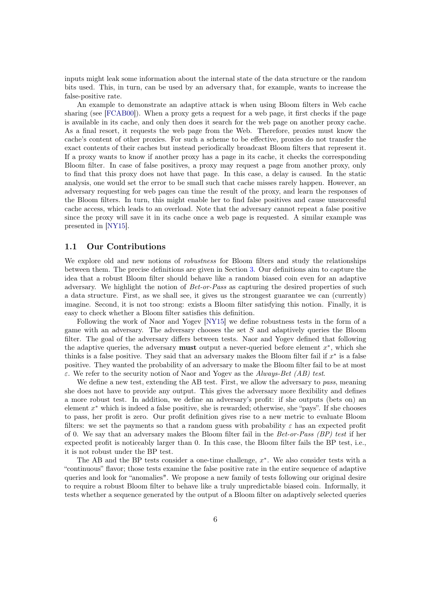inputs might leak some information about the internal state of the data structure or the random bits used. This, in turn, can be used by an adversary that, for example, wants to increase the false-positive rate.

An example to demonstrate an adaptive attack is when using Bloom filters in Web cache sharing (see [\[FCAB00\]](#page-29-0)). When a proxy gets a request for a web page, it first checks if the page is available in its cache, and only then does it search for the web page on another proxy cache. As a final resort, it requests the web page from the Web. Therefore, proxies must know the cache's content of other proxies. For such a scheme to be effective, proxies do not transfer the exact contents of their caches but instead periodically broadcast Bloom filters that represent it. If a proxy wants to know if another proxy has a page in its cache, it checks the corresponding Bloom filter. In case of false positives, a proxy may request a page from another proxy, only to find that this proxy does not have that page. In this case, a delay is caused. In the static analysis, one would set the error to be small such that cache misses rarely happen. However, an adversary requesting for web pages can time the result of the proxy, and learn the responses of the Bloom filters. In turn, this might enable her to find false positives and cause unsuccessful cache access, which leads to an overload. Note that the adversary cannot repeat a false positive since the proxy will save it in its cache once a web page is requested. A similar example was presented in [\[NY15\]](#page-29-1).

### <span id="page-5-0"></span>1.1 Our Contributions

We explore old and new notions of *robustness* for Bloom filters and study the relationships between them. The precise definitions are given in Section [3.](#page-10-0) Our definitions aim to capture the idea that a robust Bloom filter should behave like a random biased coin even for an adaptive adversary. We highlight the notion of *Bet-or-Pass* as capturing the desired properties of such a data structure. First, as we shall see, it gives us the strongest guarantee we can (currently) imagine. Second, it is not too strong: exists a Bloom filter satisfying this notion. Finally, it is easy to check whether a Bloom filter satisfies this definition.

Following the work of Naor and Yogev [\[NY15\]](#page-29-1) we define robustness tests in the form of a game with an adversary. The adversary chooses the set S and adaptively queries the Bloom filter. The goal of the adversary differs between tests. Naor and Yogev defined that following the adaptive queries, the adversary **must** output a never-queried before element  $x^*$ , which she thinks is a false positive. They said that an adversary makes the Bloom filter fail if  $x^*$  is a false positive. They wanted the probability of an adversary to make the Bloom filter fail to be at most ε. We refer to the security notion of Naor and Yogev as the Always-Bet (AB) test.

We define a new test, extending the AB test. First, we allow the adversary to pass, meaning she does not have to provide any output. This gives the adversary more flexibility and defines a more robust test. In addition, we define an adversary's profit: if she outputs (bets on) an element  $x^*$  which is indeed a false positive, she is rewarded; otherwise, she "pays". If she chooses to pass, her profit is zero. Our profit definition gives rise to a new metric to evaluate Bloom filters: we set the payments so that a random guess with probability  $\varepsilon$  has an expected profit of 0. We say that an adversary makes the Bloom filter fail in the  $Bet-or-Pass$  (BP) test if her expected profit is noticeably larger than 0. In this case, the Bloom filter fails the BP test, i.e., it is not robust under the BP test.

The AB and the BP tests consider a one-time challenge,  $x^*$ . We also consider tests with a "continuous" flavor; those tests examine the false positive rate in the entire sequence of adaptive queries and look for "anomalies". We propose a new family of tests following our original desire to require a robust Bloom filter to behave like a truly unpredictable biased coin. Informally, it tests whether a sequence generated by the output of a Bloom filter on adaptively selected queries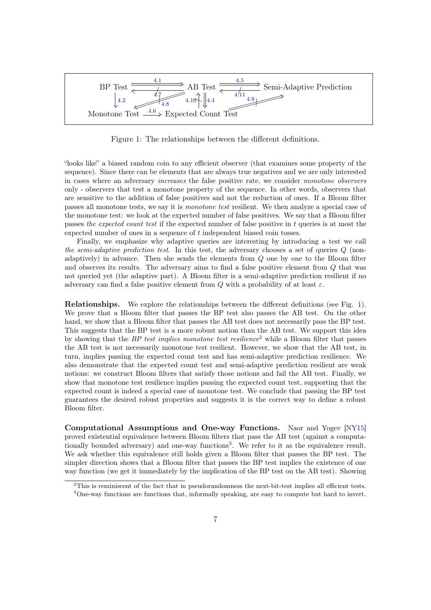

<span id="page-6-0"></span>Figure 1: The relationships between the different definitions.

"looks like" a biased random coin to any efficient observer (that examines some property of the sequence). Since there can be elements that are always true negatives and we are only interested in cases where an adversary increases the false positive rate, we consider monotone observers only - observers that test a monotone property of the sequence. In other words, observers that are sensitive to the addition of false positives and not the reduction of ones. If a Bloom filter passes all monotone tests, we say it is monotone test resilient. We then analyze a special case of the monotone test: we look at the expected number of false positives. We say that a Bloom filter passes the expected count test if the expected number of false positive in t queries is at most the expected number of ones in a sequence of t independent biased coin tosses.

Finally, we emphasize why adaptive queries are interesting by introducing a test we call the semi-adaptive prediction test. In this test, the adversary chooses a set of queries  $Q$  (nonadaptively) in advance. Then she sends the elements from  $Q$  one by one to the Bloom filter and observes its results. The adversary aims to find a false positive element from Q that was not queried yet (the adaptive part). A Bloom filter is a semi-adaptive prediction resilient if no adversary can find a false positive element from  $Q$  with a probability of at least  $\varepsilon$ .

Relationships. We explore the relationships between the different definitions (see Fig. [1\)](#page-6-0). We prove that a Bloom filter that passes the BP test also passes the AB test. On the other hand, we show that a Bloom filter that passes the AB test does not necessarily pass the BP test. This suggests that the BP test is a more robust notion than the AB test. We support this idea by showing that the *BP test implies monotone test resilience*<sup>[2](#page-6-1)</sup> while a Bloom filter that passes the AB test is not necessarily monotone test resilient. However, we show that the AB test, in turn, implies passing the expected count test and has semi-adaptive prediction resilience. We also demonstrate that the expected count test and semi-adaptive prediction resilient are weak notions: we construct Bloom filters that satisfy those notions and fail the AB test. Finally, we show that monotone test resilience implies passing the expected count test, supporting that the expected count is indeed a special case of monotone test. We conclude that passing the BP test guarantees the desired robust properties and suggests it is the correct way to define a robust Bloom filter.

Computational Assumptions and One-way Functions. Naor and Yogev [\[NY15\]](#page-29-1) proved existential equivalence between Bloom filters that pass the AB test (against a computa-tionally bounded adversary) and one-way functions<sup>[3](#page-6-2)</sup>. We refer to it as the equivalence result. We ask whether this equivalence still holds given a Bloom filter that passes the BP test. The simpler direction shows that a Bloom filter that passes the BP test implies the existence of one way function (we get it immediately by the implication of the BP test on the AB test). Showing

<span id="page-6-3"></span><span id="page-6-2"></span><span id="page-6-1"></span><sup>2</sup>This is reminiscent of the fact that in pseudorandomness the next-bit-test implies all efficient tests. <sup>3</sup>One-way functions are functions that, informally speaking, are easy to compute but hard to invert.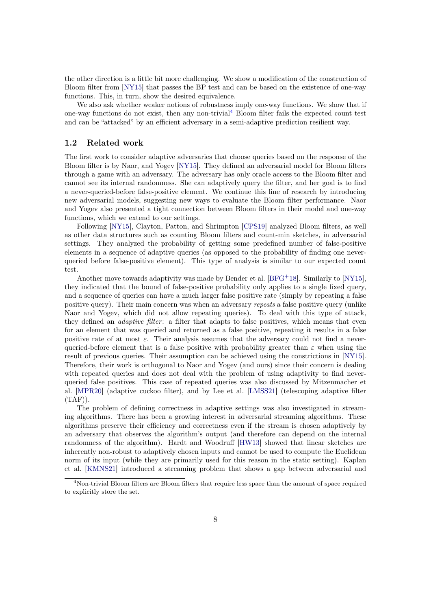the other direction is a little bit more challenging. We show a modification of the construction of Bloom filter from [\[NY15\]](#page-29-1) that passes the BP test and can be based on the existence of one-way functions. This, in turn, show the desired equivalence.

We also ask whether weaker notions of robustness imply one-way functions. We show that if one-way functions do not exist, then any non-trivial[4](#page-7-1) Bloom filter fails the expected count test and can be "attacked" by an efficient adversary in a semi-adaptive prediction resilient way.

### <span id="page-7-0"></span>1.2 Related work

The first work to consider adaptive adversaries that choose queries based on the response of the Bloom filter is by Naor, and Yogev [\[NY15\]](#page-29-1). They defined an adversarial model for Bloom filters through a game with an adversary. The adversary has only oracle access to the Bloom filter and cannot see its internal randomness. She can adaptively query the filter, and her goal is to find a never-queried-before false-positive element. We continue this line of research by introducing new adversarial models, suggesting new ways to evaluate the Bloom filter performance. Naor and Yogev also presented a tight connection between Bloom filters in their model and one-way functions, which we extend to our settings.

Following [\[NY15\]](#page-29-1), Clayton, Patton, and Shrimpton [\[CPS19\]](#page-29-2) analyzed Bloom filters, as well as other data structures such as counting Bloom filters and count-min sketches, in adversarial settings. They analyzed the probability of getting some predefined number of false-positive elements in a sequence of adaptive queries (as opposed to the probability of finding one neverqueried before false-positive element). This type of analysis is similar to our expected count test.

Another move towards adaptivity was made by Bender et al. [\[BFG](#page-28-1)<sup>+</sup>18]. Similarly to [\[NY15\]](#page-29-1), they indicated that the bound of false-positive probability only applies to a single fixed query, and a sequence of queries can have a much larger false positive rate (simply by repeating a false positive query). Their main concern was when an adversary repeats a false positive query (unlike Naor and Yogev, which did not allow repeating queries). To deal with this type of attack, they defined an *adaptive filter*: a filter that adapts to false positives, which means that even for an element that was queried and returned as a false positive, repeating it results in a false positive rate of at most  $\varepsilon$ . Their analysis assumes that the adversary could not find a neverqueried-before element that is a false positive with probability greater than  $\varepsilon$  when using the result of previous queries. Their assumption can be achieved using the constrictions in [\[NY15\]](#page-29-1). Therefore, their work is orthogonal to Naor and Yogev (and ours) since their concern is dealing with repeated queries and does not deal with the problem of using adaptivity to find neverqueried false positives. This case of repeated queries was also discussed by Mitzenmacher et al. [\[MPR20\]](#page-29-3) (adaptive cuckoo filter), and by Lee et al. [\[LMSS21\]](#page-29-4) (telescoping adaptive filter  $(TAF)$ ).

The problem of defining correctness in adaptive settings was also investigated in streaming algorithms. There has been a growing interest in adversarial streaming algorithms. These algorithms preserve their efficiency and correctness even if the stream is chosen adaptively by an adversary that observes the algorithm's output (and therefore can depend on the internal randomness of the algorithm). Hardt and Woodruff [\[HW13\]](#page-29-5) showed that linear sketches are inherently non-robust to adaptively chosen inputs and cannot be used to compute the Euclidean norm of its input (while they are primarily used for this reason in the static setting). Kaplan et al. [\[KMNS21\]](#page-29-6) introduced a streaming problem that shows a gap between adversarial and

<span id="page-7-1"></span><sup>4</sup>Non-trivial Bloom filters are Bloom filters that require less space than the amount of space required to explicitly store the set.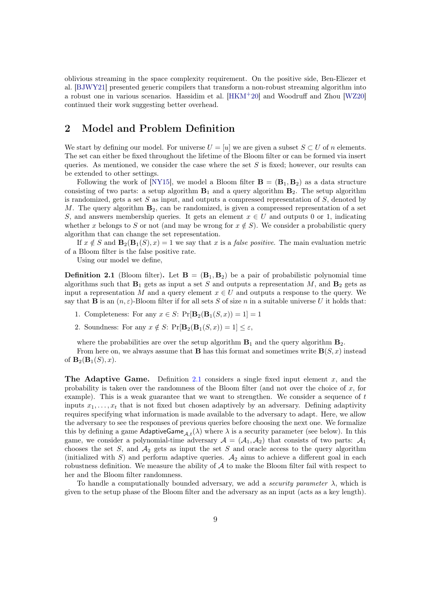oblivious streaming in the space complexity requirement. On the positive side, Ben-Eliezer et al. [\[BJWY21\]](#page-28-2) presented generic compilers that transform a non-robust streaming algorithm into a robust one in various scenarios. Hassidim et al. [\[HKM](#page-29-7)+20] and Woodruff and Zhou [\[WZ20\]](#page-29-8) continued their work suggesting better overhead.

# <span id="page-8-0"></span>2 Model and Problem Definition

We start by defining our model. For universe  $U = [u]$  we are given a subset  $S \subset U$  of n elements. The set can either be fixed throughout the lifetime of the Bloom filter or can be formed via insert queries. As mentioned, we consider the case where the set  $S$  is fixed; however, our results can be extended to other settings.

Following the work of [\[NY15\]](#page-29-1), we model a Bloom filter  $\mathbf{B} = (\mathbf{B}_1, \mathbf{B}_2)$  as a data structure consisting of two parts: a setup algorithm  $B_1$  and a query algorithm  $B_2$ . The setup algorithm is randomized, gets a set  $S$  as input, and outputs a compressed representation of  $S$ , denoted by M. The query algorithm  $\mathbf{B}_2$ , can be randomized, is given a compressed representation of a set S, and answers membership queries. It gets an element  $x \in U$  and outputs 0 or 1, indicating whether x belongs to S or not (and may be wrong for  $x \notin S$ ). We consider a probabilistic query algorithm that can change the set representation.

If  $x \notin S$  and  $\mathbf{B}_2(\mathbf{B}_1(S), x) = 1$  we say that x is a *false positive*. The main evaluation metric of a Bloom filter is the false positive rate.

Using our model we define,

<span id="page-8-1"></span>**Definition 2.1** (Bloom filter). Let  $\mathbf{B} = (\mathbf{B}_1, \mathbf{B}_2)$  be a pair of probabilistic polynomial time algorithms such that  $\mathbf{B}_1$  gets as input a set S and outputs a representation M, and  $\mathbf{B}_2$  gets as input a representation M and a query element  $x \in U$  and outputs a response to the query. We say that **B** is an  $(n, \varepsilon)$ -Bloom filter if for all sets S of size n in a suitable universe U it holds that:

- 1. Completeness: For any  $x \in S$ :  $Pr[\mathbf{B}_2(\mathbf{B}_1(S, x)) = 1] = 1$
- 2. Soundness: For any  $x \notin S$ :  $\Pr[\mathbf{B}_2(\mathbf{B}_1(S, x)) = 1] \leq \varepsilon$ ,

where the probabilities are over the setup algorithm  $B_1$  and the query algorithm  $B_2$ .

From here on, we always assume that **B** has this format and sometimes write  $\mathbf{B}(S, x)$  instead of  $\mathbf{B}_2(\mathbf{B}_1(S),x)$ .

**The Adaptive Game.** Definition [2.1](#page-8-1) considers a single fixed input element  $x$ , and the probability is taken over the randomness of the Bloom filter (and not over the choice of x, for example). This is a weak guarantee that we want to strengthen. We consider a sequence of t inputs  $x_1, \ldots, x_t$  that is not fixed but chosen adaptively by an adversary. Defining adaptivity requires specifying what information is made available to the adversary to adapt. Here, we allow the adversary to see the responses of previous queries before choosing the next one. We formalize this by defining a game AdaptiveGame<sub>A,t</sub>( $\lambda$ ) where  $\lambda$  is a security parameter (see below). In this game, we consider a polynomial-time adversary  $A = (A_1, A_2)$  that consists of two parts:  $A_1$ chooses the set S, and  $A_2$  gets as input the set S and oracle access to the query algorithm (initialized with S) and perform adaptive queries.  $A_2$  aims to achieve a different goal in each robustness definition. We measure the ability of  $A$  to make the Bloom filter fail with respect to her and the Bloom filter randomness.

To handle a computationally bounded adversary, we add a *security parameter*  $\lambda$ , which is given to the setup phase of the Bloom filter and the adversary as an input (acts as a key length).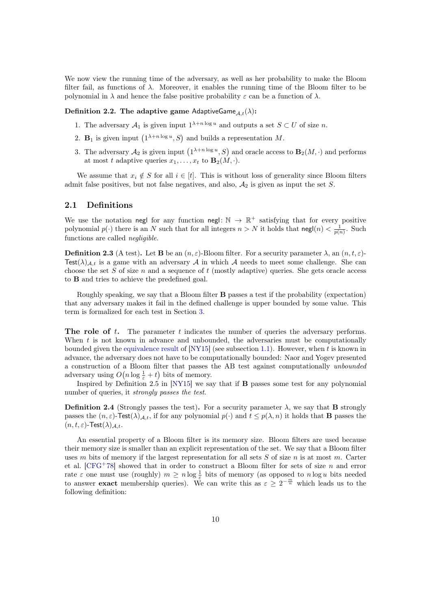We now view the running time of the adversary, as well as her probability to make the Bloom filter fail, as functions of  $\lambda$ . Moreover, it enables the running time of the Bloom filter to be polynomial in  $\lambda$  and hence the false positive probability  $\varepsilon$  can be a function of  $\lambda$ .

#### <span id="page-9-1"></span>Definition 2.2. The adaptive game AdaptiveGame<sub>At</sub>( $\lambda$ ):

- 1. The adversary  $\mathcal{A}_1$  is given input  $1^{\lambda+n \log u}$  and outputs a set  $S \subset U$  of size n.
- 2.  $B_1$  is given input  $(1^{\lambda+n \log u}, S)$  and builds a representation M.
- 3. The adversary  $\mathcal{A}_2$  is given input  $(1^{\lambda+n \log u}, S)$  and oracle access to  $\mathbf{B}_2(M, \cdot)$  and performs at most t adaptive queries  $x_1, \ldots, x_t$  to  $\mathbf{B}_2(M, \cdot)$ .

We assume that  $x_i \notin S$  for all  $i \in [t]$ . This is without loss of generality since Bloom filters admit false positives, but not false negatives, and also,  $A_2$  is given as input the set S.

### <span id="page-9-0"></span>2.1 Definitions

We use the notation negl for any function negl:  $\mathbb{N} \to \mathbb{R}^+$  satisfying that for every positive polynomial  $p(\cdot)$  there is an N such that for all integers  $n > N$  it holds that  $\mathsf{negl}(n) < \frac{1}{p(n)}$ . Such functions are called negligible.

**Definition 2.3** (A test). Let **B** be an  $(n, \varepsilon)$ -Bloom filter. For a security parameter  $\lambda$ , an  $(n, t, \varepsilon)$ -Test( $\lambda$ )<sub>A,t</sub> is a game with an adversary A in which A needs to meet some challenge. She can choose the set S of size n and a sequence of t (mostly adaptive) queries. She gets oracle access to B and tries to achieve the predefined goal.

Roughly speaking, we say that a Bloom filter B passes a test if the probability (expectation) that any adversary makes it fail in the defined challenge is upper bounded by some value. This term is formalized for each test in Section [3.](#page-10-0)

The role of  $t$ . The parameter  $t$  indicates the number of queries the adversary performs. When  $t$  is not known in advance and unbounded, the adversaries must be computationally bounded given the [equivalence result](#page-6-3) of  $[NY15]$  (see subsection [1.1\)](#page-5-0). However, when t is known in advance, the adversary does not have to be computationally bounded: Naor and Yogev presented a construction of a Bloom filter that passes the AB test against computationally unbounded adversary using  $O(n \log \frac{1}{\varepsilon} + t)$  bits of memory.

Inspired by Definition 2.5 in [\[NY15\]](#page-29-1) we say that if B passes some test for any polynomial number of queries, it strongly passes the test.

**Definition 2.4** (Strongly passes the test). For a security parameter  $\lambda$ , we say that **B** strongly passes the  $(n, \varepsilon)$ -Test $(\lambda)_{A,t}$ , if for any polynomial  $p(\cdot)$  and  $t \leq p(\lambda, n)$  it holds that **B** passes the  $(n, t, \varepsilon)$ -Test $(\lambda)_{A,t}$ .

An essential property of a Bloom filter is its memory size. Bloom filters are used because their memory size is smaller than an explicit representation of the set. We say that a Bloom filter uses m bits of memory if the largest representation for all sets  $S$  of size  $n$  is at most m. Carter et al.  $[CFG+78]$  $[CFG+78]$  showed that in order to construct a Bloom filter for sets of size n and error rate  $\varepsilon$  one must use (roughly)  $m \ge n \log \frac{1}{\varepsilon}$  bits of memory (as opposed to  $n \log u$  bits needed to answer **exact** membership queries). We can write this as  $\varepsilon \geq 2^{-\frac{m}{n}}$  which leads us to the following definition: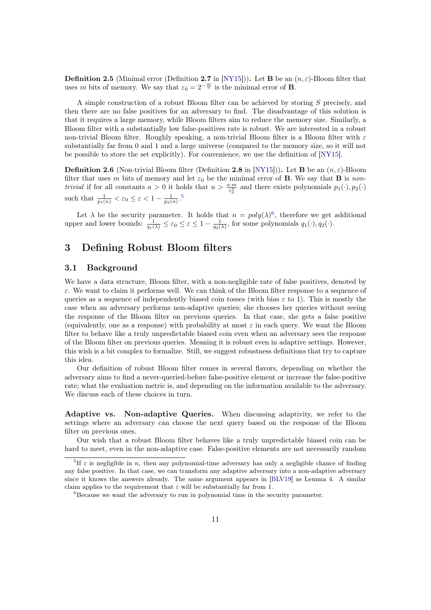**Definition 2.5** (Minimal error (Definition 2.7 in [\[NY15\]](#page-29-1))). Let **B** be an  $(n, \varepsilon)$ -Bloom filter that uses m bits of memory. We say that  $\varepsilon_0 = 2^{-\frac{m}{n}}$  is the minimal error of **B**.

A simple construction of a robust Bloom filter can be achieved by storing S precisely, and then there are no false positives for an adversary to find. The disadvantage of this solution is that it requires a large memory, while Bloom filters aim to reduce the memory size. Similarly, a Bloom filter with a substantially low false-positives rate is robust. We are interested in a robust non-trivial Bloom filter. Roughly speaking, a non-trivial Bloom filter is a Bloom filter with  $\varepsilon$ substantially far from 0 and 1 and a large universe (compared to the memory size, so it will not be possible to store the set explicitly). For convenience, we use the definition of [\[NY15\]](#page-29-1).

**Definition 2.6** (Non-trivial Bloom filter (Definition 2.8 in [\[NY15\]](#page-29-1))). Let **B** be an  $(n, \varepsilon)$ -Bloom filter that uses m bits of memory and let  $\varepsilon_0$  be the minimal error of **B**. We say that **B** is nontrivial if for all constants  $a > 0$  it holds that  $u > \frac{a \cdot m}{\varepsilon_0^2}$  and there exists polynomials  $p_1(\cdot), p_2(\cdot)$ such that  $\frac{1}{p_1(n)} < \varepsilon_0 \leq \varepsilon < 1 - \frac{1}{p_2(n)}$ .<sup>[5](#page-10-2)</sup>

Let  $\lambda$  be the security parameter. It holds that  $n = poly(\lambda)^6$  $n = poly(\lambda)^6$ , therefore we get additional upper and lower bounds:  $\frac{1}{q_1(\lambda)} \leq \varepsilon_0 \leq \varepsilon \leq 1 - \frac{1}{q_2(\lambda)}$ , for some polynomials  $q_1(\cdot), q_2(\cdot)$ .

# <span id="page-10-0"></span>3 Defining Robust Bloom filters

# <span id="page-10-1"></span>3.1 Background

We have a data structure, Bloom filter, with a non-negligible rate of false positives, denoted by  $\varepsilon$ . We want to claim it performs well. We can think of the Bloom filter response to a sequence of queries as a sequence of independently biased coin tosses (with bias  $\varepsilon$  to 1). This is mostly the case when an adversary performs non-adaptive queries; she chooses her queries without seeing the response of the Bloom filter on previous queries. In that case, she gets a false positive (equivalently, one as a response) with probability at most  $\varepsilon$  in each query. We want the Bloom filter to behave like a truly unpredictable biased coin even when an adversary sees the response of the Bloom filter on previous queries. Meaning it is robust even in adaptive settings. However, this wish is a bit complex to formalize. Still, we suggest robustness definitions that try to capture this idea.

Our definition of robust Bloom filter comes in several flavors, depending on whether the adversary aims to find a never-queried-before false-positive element or increase the false-positive rate; what the evaluation metric is, and depending on the information available to the adversary. We discuss each of these choices in turn.

Adaptive vs. Non-adaptive Queries. When discussing adaptivity, we refer to the settings where an adversary can choose the next query based on the response of the Bloom filter on previous ones.

Our wish that a robust Bloom filter behaves like a truly unpredictable biased coin can be hard to meet, even in the non-adaptive case. False-positive elements are not necessarily random

<span id="page-10-2"></span><sup>&</sup>lt;sup>5</sup>If  $\varepsilon$  is negligible in n, then any polynomial-time adversary has only a negligible chance of finding any false positive. In that case, we can transform any adaptive adversary into a non-adaptive adversary since it knows the answers already. The same argument appears in [\[BLV19\]](#page-28-4) as Lemma 4. A similar claim applies to the requirement that  $\varepsilon$  will be substantially far from 1.

<span id="page-10-3"></span><sup>&</sup>lt;sup>6</sup>Because we want the adversary to run in polynomial time in the security parameter.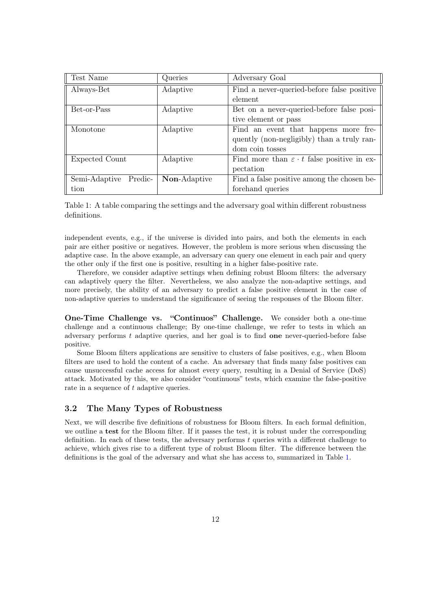| Test Name             | Queries      | Adversary Goal                                             |
|-----------------------|--------------|------------------------------------------------------------|
| Always-Bet            | Adaptive     | Find a never-queried-before false positive                 |
|                       |              | element                                                    |
| Bet-or-Pass           | Adaptive     | Bet on a never-queried-before false posi-                  |
|                       |              | tive element or pass                                       |
| Monotone              | Adaptive     | Find an event that happens more fre-                       |
|                       |              | quently (non-negligibly) than a truly ran-                 |
|                       |              | dom coin tosses                                            |
| Expected Count        | Adaptive     | Find more than $\varepsilon \cdot t$ false positive in ex- |
|                       |              | pectation                                                  |
| Semi-Adaptive Predic- | Non-Adaptive | Find a false positive among the chosen be-                 |
| tion                  |              | forehand queries                                           |

<span id="page-11-1"></span>Table 1: A table comparing the settings and the adversary goal within different robustness definitions.

independent events, e.g., if the universe is divided into pairs, and both the elements in each pair are either positive or negatives. However, the problem is more serious when discussing the adaptive case. In the above example, an adversary can query one element in each pair and query the other only if the first one is positive, resulting in a higher false-positive rate.

Therefore, we consider adaptive settings when defining robust Bloom filters: the adversary can adaptively query the filter. Nevertheless, we also analyze the non-adaptive settings, and more precisely, the ability of an adversary to predict a false positive element in the case of non-adaptive queries to understand the significance of seeing the responses of the Bloom filter.

One-Time Challenge vs. "Continuos" Challenge. We consider both a one-time challenge and a continuous challenge; By one-time challenge, we refer to tests in which an adversary performs  $t$  adaptive queries, and her goal is to find one never-queried-before false positive.

Some Bloom filters applications are sensitive to clusters of false positives, e.g., when Bloom filters are used to hold the content of a cache. An adversary that finds many false positives can cause unsuccessful cache access for almost every query, resulting in a Denial of Service (DoS) attack. Motivated by this, we also consider "continuous" tests, which examine the false-positive rate in a sequence of t adaptive queries.

### <span id="page-11-0"></span>3.2 The Many Types of Robustness

Next, we will describe five definitions of robustness for Bloom filters. In each formal definition, we outline a test for the Bloom filter. If it passes the test, it is robust under the corresponding definition. In each of these tests, the adversary performs  $t$  queries with a different challenge to achieve, which gives rise to a different type of robust Bloom filter. The difference between the definitions is the goal of the adversary and what she has access to, summarized in Table [1.](#page-11-1)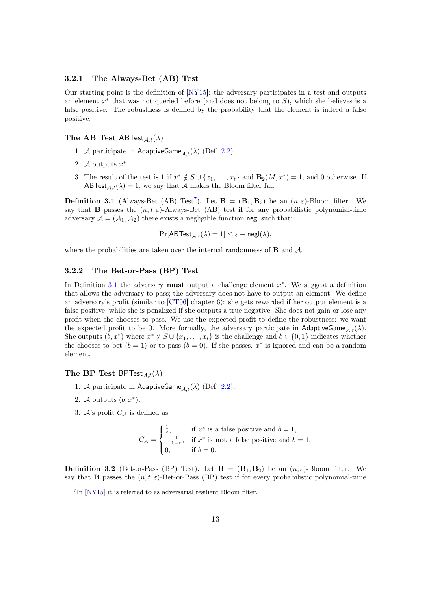## 3.2.1 The Always-Bet (AB) Test

Our starting point is the definition of [\[NY15\]](#page-29-1): the adversary participates in a test and outputs an element  $x^*$  that was not queried before (and does not belong to  $S$ ), which she believes is a false positive. The robustness is defined by the probability that the element is indeed a false positive.

### The AB Test  $ABTest_{\mathcal{A},t}(\lambda)$

- 1. A participate in AdaptiveGame<sub>A,t</sub>( $\lambda$ ) (Def. [2.2\)](#page-9-1).
- 2. A outputs  $x^*$ .
- 3. The result of the test is 1 if  $x^* \notin S \cup \{x_1, \ldots, x_t\}$  and  $\mathbf{B}_2(M, x^*) = 1$ , and 0 otherwise. If ABTest<sub> $A,t(\lambda) = 1$ , we say that A makes the Bloom filter fail.</sub>

<span id="page-12-1"></span>**Definition 3.1** (Always-Bet (AB) Test<sup>[7](#page-12-0)</sup>). Let **B** =  $(\mathbf{B}_1, \mathbf{B}_2)$  be an  $(n, \varepsilon)$ -Bloom filter. We say that **B** passes the  $(n, t, \varepsilon)$ -Always-Bet (AB) test if for any probabilistic polynomial-time adversary  $A = (A_1, A_2)$  there exists a negligible function negl such that:

$$
\Pr[\mathsf{ABTest}_{\mathcal{A},t}(\lambda) = 1] \leq \varepsilon + \mathsf{negl}(\lambda),
$$

where the probabilities are taken over the internal randomness of  $B$  and  $A$ .

### 3.2.2 The Bet-or-Pass (BP) Test

In Definition [3.1](#page-12-1) the adversary must output a challenge element  $x^*$ . We suggest a definition that allows the adversary to pass; the adversary does not have to output an element. We define an adversary's profit (similar to [\[CT06\]](#page-29-9) chapter 6): she gets rewarded if her output element is a false positive, while she is penalized if she outputs a true negative. She does not gain or lose any profit when she chooses to pass. We use the expected profit to define the robustness: we want the expected profit to be 0. More formally, the adversary participate in AdaptiveGame<sub>A,t</sub>( $\lambda$ ). She outputs  $(b, x^*)$  where  $x^* \notin S \cup \{x_1, \ldots, x_t\}$  is the challenge and  $b \in \{0, 1\}$  indicates whether she chooses to bet  $(b = 1)$  or to pass  $(b = 0)$ . If she passes,  $x^*$  is ignored and can be a random element.

### The BP Test BPTest $_{\mathcal{A},t}(\lambda)$

- 1. A participate in AdaptiveGame $_{A,t}(\lambda)$  (Def. [2.2\)](#page-9-1).
- 2. A outputs  $(b, x^*)$ .
- 3. A's profit  $C_A$  is defined as:

$$
C_A = \begin{cases} \frac{1}{\varepsilon}, & \text{if } x^* \text{ is a false positive and } b = 1, \\ -\frac{1}{1-\varepsilon}, & \text{if } x^* \text{ is } \textbf{not} \text{ a false positive and } b = 1, \\ 0, & \text{if } b = 0. \end{cases}
$$

<span id="page-12-2"></span>**Definition 3.2** (Bet-or-Pass (BP) Test). Let  $\mathbf{B} = (\mathbf{B}_1, \mathbf{B}_2)$  be an  $(n, \varepsilon)$ -Bloom filter. We say that **B** passes the  $(n, t, \varepsilon)$ -Bet-or-Pass (BP) test if for every probabilistic polynomial-time

<span id="page-12-0"></span><sup>&</sup>lt;sup>7</sup>In [\[NY15\]](#page-29-1) it is referred to as adversarial resilient Bloom filter.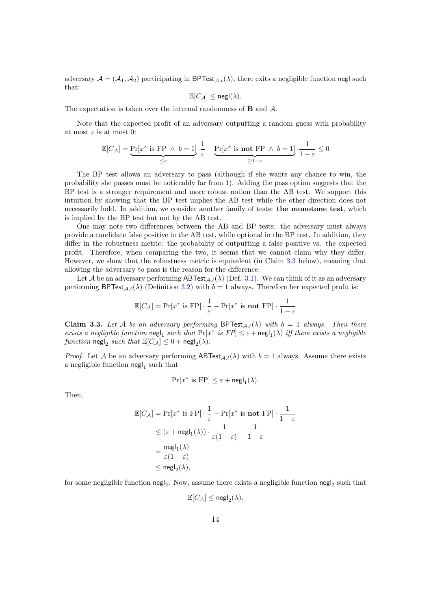adversary  $\mathcal{A} = (\mathcal{A}_1, \mathcal{A}_2)$  participating in BPTest $\mathcal{A}_{\mathcal{A}}(\lambda)$ , there exits a negligible function negl such that:

$$
\mathbb{E}[C_{\mathcal{A}}] \leq \mathsf{negl}(\lambda).
$$

The expectation is taken over the internal randomness of **B** and A.

Note that the expected profit of an adversary outputting a random guess with probability at most  $\varepsilon$  is at most 0:

$$
\mathbb{E}[C_{\mathcal{A}}] = \underbrace{\Pr[x^* \text{ is FP } \land \ b = 1]}_{\leq \varepsilon} \cdot \frac{1}{\varepsilon} - \underbrace{\Pr[x^* \text{ is not FP } \land \ b = 1]}_{\geq 1-\varepsilon} \cdot \frac{1}{1-\varepsilon} \leq 0
$$

The BP test allows an adversary to pass (although if she wants any chance to win, the probability she passes must be noticeably far from 1). Adding the pass option suggests that the BP test is a stronger requirement and more robust notion than the AB test. We support this intuition by showing that the BP test implies the AB test while the other direction does not necessarily hold. In addition, we consider another family of tests: the monotone test, which is implied by the BP test but not by the AB test.

One may note two differences between the AB and BP tests: the adversary must always provide a candidate false positive in the AB test, while optional in the BP test. In addition, they differ in the robustness metric: the probability of outputting a false positive vs. the expected profit. Therefore, when comparing the two, it seems that we cannot claim why they differ. However, we show that the robustness metric is equivalent (in Claim [3.3](#page-13-0) below), meaning that allowing the adversary to pass is the reason for the difference.

Let A be an adversary performing  $ABTest_{\mathcal{A},t}(\lambda)$  (Def. [3.1\)](#page-12-1). We can think of it as an adversary performing BPTest<sub>A,t</sub>( $\lambda$ ) (Definition [3.2\)](#page-12-2) with  $b = 1$  always. Therefore her expected profit is:

$$
\mathbb{E}[C_{\mathcal{A}}] = \Pr[x^* \text{ is FP}] \cdot \frac{1}{\varepsilon} - \Pr[x^* \text{ is not FP}] \cdot \frac{1}{1 - \varepsilon}
$$

<span id="page-13-0"></span>Claim 3.3. Let A be an adversary performing BPTest<sub>A,t</sub>( $\lambda$ ) with  $b = 1$  always. Then there exists a negligible function  $\mathsf{negl}_1$  such that  $\Pr[x^* \text{ is } FP] \leq \varepsilon + \mathsf{negl}_1(\lambda)$  iff there exists a negligible function  $\operatorname{negl}_2$  such that  $\mathbb{E}[C_{\mathcal{A}}] \leq 0 + \operatorname{negl}_2(\lambda)$ .

*Proof.* Let A be an adversary performing  $ABTest_{\mathcal{A},t}(\lambda)$  with  $b = 1$  always. Assume there exists a negligible function  $\mathsf{negl}_1$  such that

$$
\Pr[x^* \text{ is FP}] \le \varepsilon + \mathsf{negl}_1(\lambda).
$$

Then,

$$
\mathbb{E}[C_{\mathcal{A}}] = \Pr[x^* \text{ is FP}] \cdot \frac{1}{\varepsilon} - \Pr[x^* \text{ is not FP}] \cdot \frac{1}{1 - \varepsilon}
$$
  
\n
$$
\leq (\varepsilon + \mathsf{negl}_1(\lambda)) \cdot \frac{1}{\varepsilon(1 - \varepsilon)} - \frac{1}{1 - \varepsilon}
$$
  
\n
$$
= \frac{\mathsf{negl}_1(\lambda)}{\varepsilon(1 - \varepsilon)}
$$
  
\n
$$
\leq \mathsf{negl}_2(\lambda),
$$

for some negligible function  $\mathsf{negl}_2$ . Now, assume there exists a negligible function  $\mathsf{negl}_2$  such that

$$
\mathbb{E}[C_{\mathcal{A}}]\leq \mathsf{negl}_2(\lambda).
$$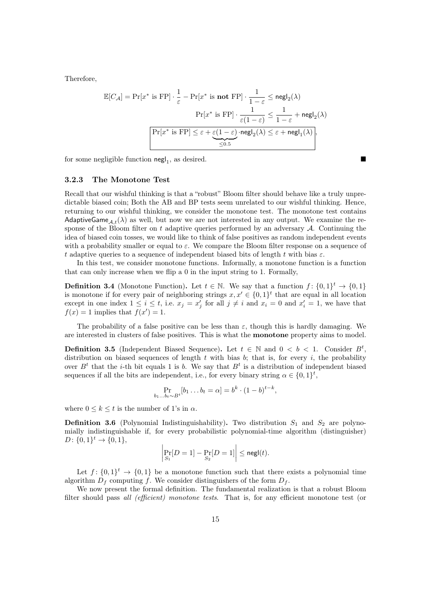Therefore,

$$
\mathbb{E}[C_{\mathcal{A}}] = \Pr[x^* \text{ is FP}] \cdot \frac{1}{\varepsilon} - \Pr[x^* \text{ is not FP}] \cdot \frac{1}{1-\varepsilon} \le \operatorname{negl}_2(\lambda)
$$

$$
\Pr[x^* \text{ is FP}] \cdot \frac{1}{\varepsilon(1-\varepsilon)} \le \frac{1}{1-\varepsilon} + \operatorname{negl}_2(\lambda)
$$

$$
\Pr[x^* \text{ is FP}] \le \varepsilon + \underbrace{\varepsilon(1-\varepsilon)}_{\le 0.5} \cdot \operatorname{negl}_2(\lambda) \le \varepsilon + \operatorname{negl}_1(\lambda),
$$

for some negligible function  $\mathsf{negl}_1$ , as desired.

#### 3.2.3 The Monotone Test

Recall that our wishful thinking is that a "robust" Bloom filter should behave like a truly unpredictable biased coin; Both the AB and BP tests seem unrelated to our wishful thinking. Hence, returning to our wishful thinking, we consider the monotone test. The monotone test contains AdaptiveGame<sub>At</sub>( $\lambda$ ) as well, but now we are not interested in any output. We examine the response of the Bloom filter on t adaptive queries performed by an adversary  $\mathcal A$ . Continuing the idea of biased coin tosses, we would like to think of false positives as random independent events with a probability smaller or equal to  $\varepsilon$ . We compare the Bloom filter response on a sequence of t adaptive queries to a sequence of independent biased bits of length t with bias  $\varepsilon$ .

In this test, we consider monotone functions. Informally, a monotone function is a function that can only increase when we flip a 0 in the input string to 1. Formally,

**Definition 3.4** (Monotone Function). Let  $t \in \mathbb{N}$ . We say that a function  $f: \{0,1\}^t \to \{0,1\}$ is monotone if for every pair of neighboring strings  $x, x' \in \{0,1\}^t$  that are equal in all location except in one index  $1 \leq i \leq t$ , i.e.  $x_j = x'_j$  for all  $j \neq i$  and  $x_i = 0$  and  $x'_i = 1$ , we have that  $f(x) = 1$  implies that  $f(x') = 1$ .

The probability of a false positive can be less than  $\varepsilon$ , though this is hardly damaging. We are interested in clusters of false positives. This is what the monotone property aims to model.

**Definition 3.5** (Independent Biased Sequence). Let  $t \in \mathbb{N}$  and  $0 < b < 1$ . Consider  $B^t$ , distribution on biased sequences of length t with bias b; that is, for every i, the probability over  $B<sup>t</sup>$  that the *i*-th bit equals 1 is *b*. We say that  $B<sup>t</sup>$  is a distribution of independent biased sequences if all the bits are independent, i.e., for every binary string  $\alpha \in \{0,1\}^t$ ,

$$
\Pr_{b_1...b_t \sim B^t} [b_1...b_t = \alpha] = b^k \cdot (1-b)^{t-k},
$$

where  $0 \leq k \leq t$  is the number of 1's in  $\alpha$ .

**Definition 3.6** (Polynomial Indistinguishability). Two distribution  $S_1$  and  $S_2$  are polynomially indistinguishable if, for every probabilistic polynomial-time algorithm (distinguisher)  $D: \{0,1\}^t \to \{0,1\},\$ 

$$
\left|\Pr_{S_1}[D=1]-\Pr_{S_2}[D=1]\right|\leq \mathsf{negl}(t).
$$

Let  $f: \{0,1\}^t \to \{0,1\}$  be a monotone function such that there exists a polynomial time algorithm  $D_f$  computing f. We consider distinguishers of the form  $D_f$ .

We now present the formal definition. The fundamental realization is that a robust Bloom filter should pass all (efficient) monotone tests. That is, for any efficient monotone test (or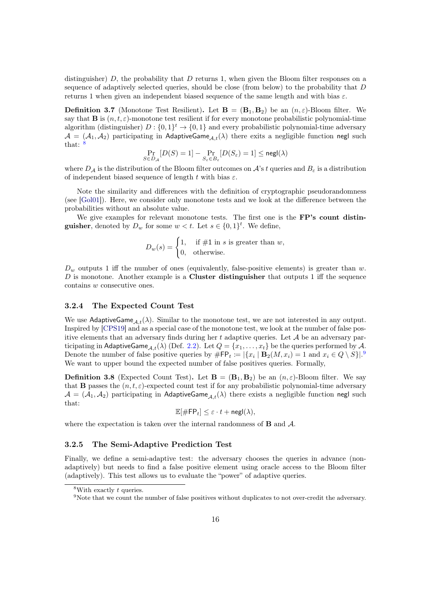distinguisher) D, the probability that D returns 1, when given the Bloom filter responses on a sequence of adaptively selected queries, should be close (from below) to the probability that D returns 1 when given an independent biased sequence of the same length and with bias  $\varepsilon$ .

**Definition 3.7** (Monotone Test Resilient). Let  $\mathbf{B} = (\mathbf{B}_1, \mathbf{B}_2)$  be an  $(n, \varepsilon)$ -Bloom filter. We say that **B** is  $(n, t, \varepsilon)$ -monotone test resilient if for every monotone probabilistic polynomial-time algorithm (distinguisher)  $D: \{0,1\}^t \to \{0,1\}$  and every probabilistic polynomial-time adversary  $A = (A_1, A_2)$  participating in AdaptiveGame<sub>A,t</sub>( $\lambda$ ) there exits a negligible function negl such that: [8](#page-15-0)

$$
\Pr_{S \in D_{\mathcal{A}}}[D(S) = 1] - \Pr_{S_{\varepsilon} \in B_{\varepsilon}}[D(S_{\varepsilon}) = 1] \le \mathsf{negl}(\lambda)
$$

where  $D_A$  is the distribution of the Bloom filter outcomes on A's t queries and  $B_\varepsilon$  is a distribution of independent biased sequence of length  $t$  with bias  $\varepsilon$ .

Note the similarity and differences with the definition of cryptographic pseudorandomness (see [\[Gol01\]](#page-29-10)). Here, we consider only monotone tests and we look at the difference between the probabilities without an absolute value.

We give examples for relevant monotone tests. The first one is the **FP's count distinguisher**, denoted by  $D_w$  for some  $w < t$ . Let  $s \in \{0,1\}^t$ . We define,

$$
D_w(s) = \begin{cases} 1, & \text{if } \#1 \text{ in } s \text{ is greater than } w, \\ 0, & \text{otherwise.} \end{cases}
$$

 $D_w$  outputs 1 iff the number of ones (equivalently, false-positive elements) is greater than w.  $D$  is monotone. Another example is a **Cluster distinguisher** that outputs 1 iff the sequence contains w consecutive ones.

### 3.2.4 The Expected Count Test

We use AdaptiveGame<sub>A,t</sub>( $\lambda$ ). Similar to the monotone test, we are not interested in any output. Inspired by [\[CPS19\]](#page-29-2) and as a special case of the monotone test, we look at the number of false positive elements that an adversary finds during her t adaptive queries. Let  $A$  be an adversary participating in AdaptiveGame<sub>At</sub>( $\lambda$ ) (Def. [2.2\)](#page-9-1). Let  $Q = \{x_1, \ldots, x_t\}$  be the queries performed by A. Denote the number of false positive queries by  $\#FP_t := |\{x_i \mid B_2(M, x_i) = 1 \text{ and } x_i \in Q \setminus S\}|$ . We want to upper bound the expected number of false positives queries. Formally,

**Definition 3.8** (Expected Count Test). Let  $\mathbf{B} = (\mathbf{B}_1, \mathbf{B}_2)$  be an  $(n, \varepsilon)$ -Bloom filter. We say that **B** passes the  $(n, t, \varepsilon)$ -expected count test if for any probabilistic polynomial-time adversary  $A = (A_1, A_2)$  participating in AdaptiveGame<sub>A,t</sub>( $\lambda$ ) there exists a negligible function negl such that:

$$
\mathbb{E}[\# \mathsf{FP}_t] \leq \varepsilon \cdot t + \mathsf{negl}(\lambda),
$$

where the expectation is taken over the internal randomness of  $B$  and  $A$ .

#### 3.2.5 The Semi-Adaptive Prediction Test

Finally, we define a semi-adaptive test: the adversary chooses the queries in advance (nonadaptively) but needs to find a false positive element using oracle access to the Bloom filter (adaptively). This test allows us to evaluate the "power" of adaptive queries.

<span id="page-15-0"></span> $8$ With exactly t queries.

<span id="page-15-1"></span><sup>9</sup>Note that we count the number of false positives without duplicates to not over-credit the adversary.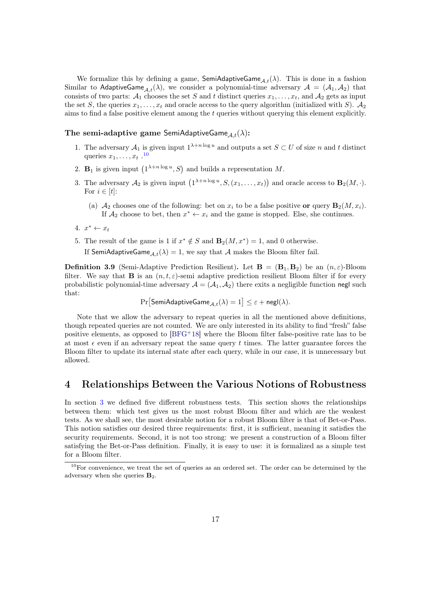We formalize this by defining a game, SemiAdaptiveGame<sub>A,t</sub>( $\lambda$ ). This is done in a fashion Similar to AdaptiveGame<sub>A,t</sub>( $\lambda$ ), we consider a polynomial-time adversary  $\mathcal{A} = (\mathcal{A}_1, \mathcal{A}_2)$  that consists of two parts:  $A_1$  chooses the set S and t distinct queries  $x_1, \ldots, x_t$ , and  $A_2$  gets as input the set S, the queries  $x_1, \ldots, x_t$  and oracle access to the query algorithm (initialized with S).  $A_2$ aims to find a false positive element among the  $t$  queries without querying this element explicitly.

## The semi-adaptive game SemiAdaptiveGame<sub>A,t</sub>( $\lambda$ ):

- 1. The adversary  $\mathcal{A}_1$  is given input  $1^{\lambda+n \log u}$  and outputs a set  $S \subset U$  of size n and t distinct queries  $x_1, \ldots, x_t$ .<sup>[10](#page-16-2)</sup>
- 2.  $B_1$  is given input  $(1^{\lambda+n \log u}, S)$  and builds a representation M.
- 3. The adversary  $\mathcal{A}_2$  is given input  $(1^{\lambda+n \log u}, S, (x_1, \ldots, x_t))$  and oracle access to  $\mathbf{B}_2(M, \cdot)$ . For  $i \in [t]$ :
	- (a)  $A_2$  chooses one of the following: bet on  $x_i$  to be a false positive or query  $\mathbf{B}_2(M, x_i)$ . If  $A_2$  choose to bet, then  $x^* \leftarrow x_i$  and the game is stopped. Else, she continues.
- 4.  $x^* \leftarrow x_t$
- 5. The result of the game is 1 if  $x^* \notin S$  and  $\mathbf{B}_2(M, x^*) = 1$ , and 0 otherwise. If SemiAdaptiveGame<sub>At</sub>( $\lambda$ ) = 1, we say that A makes the Bloom filter fail.

**Definition 3.9** (Semi-Adaptive Prediction Resilient). Let  $\mathbf{B} = (\mathbf{B}_1, \mathbf{B}_2)$  be an  $(n, \varepsilon)$ -Bloom filter. We say that **B** is an  $(n, t, \varepsilon)$ -semi adaptive prediction resilient Bloom filter if for every probabilistic polynomial-time adversary  $\mathcal{A} = (\mathcal{A}_1, \mathcal{A}_2)$  there exits a negligible function negl such that:

 $\Pr\big[\mathsf{SemiAdaptiveGame}_{\mathcal{A},t}(\lambda)=1\big] \leq \varepsilon + \mathsf{negl}(\lambda).$ 

Note that we allow the adversary to repeat queries in all the mentioned above definitions, though repeated queries are not counted. We are only interested in its ability to find "fresh" false positive elements, as opposed to [\[BFG](#page-28-1)<sup>+</sup>18] where the Bloom filter false-positive rate has to be at most  $\epsilon$  even if an adversary repeat the same query t times. The latter guarantee forces the Bloom filter to update its internal state after each query, while in our case, it is unnecessary but allowed.

# <span id="page-16-0"></span>4 Relationships Between the Various Notions of Robustness

In section [3](#page-10-0) we defined five different robustness tests. This section shows the relationships between them: which test gives us the most robust Bloom filter and which are the weakest tests. As we shall see, the most desirable notion for a robust Bloom filter is that of Bet-or-Pass. This notion satisfies our desired three requirements: first, it is sufficient, meaning it satisfies the security requirements. Second, it is not too strong: we present a construction of a Bloom filter satisfying the Bet-or-Pass definition. Finally, it is easy to use: it is formalized as a simple test for a Bloom filter.

<span id="page-16-2"></span><span id="page-16-1"></span> $10$ For convenience, we treat the set of queries as an ordered set. The order can be determined by the adversary when she queries  $\mathbf{B}_2$ .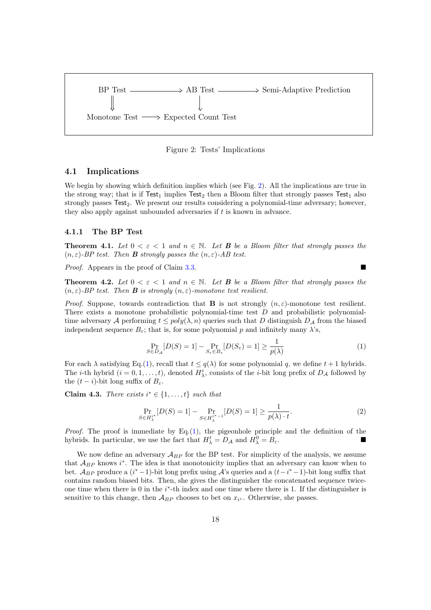

<span id="page-17-2"></span>Figure 2: Tests' Implications

### 4.1 Implications

We begin by showing which definition implies which (see Fig. [2\)](#page-17-2). All the implications are true in the strong way; that is if  $Test_1$  implies Test<sub>2</sub> then a Bloom filter that strongly passes Test<sub>1</sub> also strongly passes Test<sub>2</sub>. We present our results considering a polynomial-time adversary; however, they also apply against unbounded adversaries if  $t$  is known in advance.

#### 4.1.1 The BP Test

<span id="page-17-0"></span>**Theorem 4.1.** Let  $0 < \varepsilon < 1$  and  $n \in \mathbb{N}$ . Let **B** be a Bloom filter that strongly passes the  $(n, \varepsilon)$ -BP test. Then **B** strongly passes the  $(n, \varepsilon)$ -AB test.

Proof. Appears in the proof of Claim [3.3.](#page-13-0) ■

<span id="page-17-1"></span>**Theorem 4.2.** Let  $0 < \varepsilon < 1$  and  $n \in \mathbb{N}$ . Let **B** be a Bloom filter that strongly passes the  $(n, \varepsilon)$ -BP test. Then **B** is strongly  $(n, \varepsilon)$ -monotone test resilient.

*Proof.* Suppose, towards contradiction that **B** is not strongly  $(n, \varepsilon)$ -monotone test resilient. There exists a monotone probabilistic polynomial-time test D and probabilistic polynomialtime adversary A performing  $t \leq poly(\lambda, n)$  queries such that D distinguish  $D_A$  from the biased independent sequence  $B_{\varepsilon}$ ; that is, for some polynomial p and infinitely many  $\lambda$ 's,

<span id="page-17-3"></span>
$$
\Pr_{S \in D_{\mathcal{A}}}[D(S) = 1] - \Pr_{S_{\varepsilon} \in B_{\varepsilon}}[D(S_{\varepsilon}) = 1] \ge \frac{1}{p(\lambda)}
$$
\n(1)

For each  $\lambda$  satisfying Eq.[\(1\)](#page-17-3), recall that  $t \leq q(\lambda)$  for some polynomial q, we define  $t + 1$  hybrids. The *i*-th hybrid  $(i = 0, 1, ..., t)$ , denoted  $H^i_\lambda$ , consists of the *i*-bit long prefix of  $D_A$  followed by the  $(t - i)$ -bit long suffix of  $B_{\varepsilon}$ .

Claim 4.3. There exists  $i^* \in \{1, \ldots, t\}$  such that

<span id="page-17-4"></span>
$$
\Pr_{S \in H_{\lambda}^{i*}} [D(S) = 1] - \Pr_{S \in H_{\lambda}^{i*} - 1} [D(S) = 1] \ge \frac{1}{p(\lambda) \cdot t}.
$$
\n(2)

*Proof.* The proof is immediate by Eq. $(1)$ , the pigeonhole principle and the definition of the hybrids. In particular, we use the fact that  $H^t_{\lambda} = D_{\mathcal{A}}$  and  $H^0_{\lambda} = B_{\varepsilon}$ .

We now define an adversary  $\mathcal{A}_{BP}$  for the BP test. For simplicity of the analysis, we assume that  $A_{BP}$  knows  $i^*$ . The idea is that monotonicity implies that an adversary can know when to bet.  $\mathcal{A}_{BP}$  produce a  $(i^*-1)$ -bit long prefix using A's queries and a  $(t-i^*-1)$ -bit long suffix that contains random biased bits. Then, she gives the distinguisher the concatenated sequence twiceone time when there is  $0$  in the  $i^*$ -th index and one time where there is 1. If the distinguisher is sensitive to this change, then  $\mathcal{A}_{BP}$  chooses to bet on  $x_{i^*}$ . Otherwise, she passes.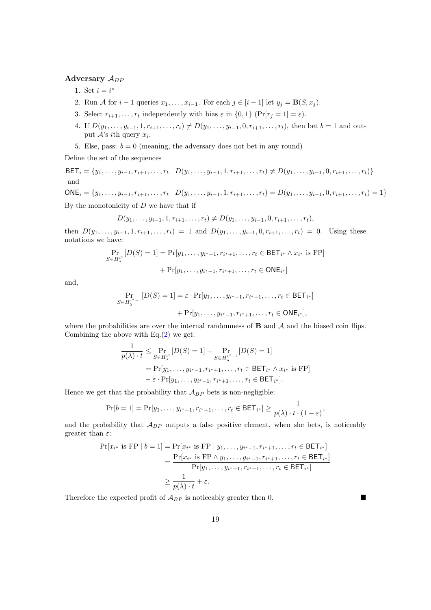### Adversary  $A_{BP}$

- 1. Set  $i = i^*$
- 2. Run A for  $i-1$  queries  $x_1, \ldots, x_{i-1}$ . For each  $j \in [i-1]$  let  $y_j = \mathbf{B}(S, x_j)$ .
- 3. Select  $r_{i+1}, \ldots, r_t$  independently with bias  $\varepsilon$  in  $\{0, 1\}$  (Pr[ $r_i = 1$ ] =  $\varepsilon$ ).
- 4. If  $D(y_1, \ldots, y_{i-1}, 1, r_{i+1}, \ldots, r_t) \neq D(y_1, \ldots, y_{i-1}, 0, r_{i+1}, \ldots, r_t)$ , then bet  $b = 1$  and output  $\mathcal{A}$ 's *i*th query  $x_i$ .
- 5. Else, pass:  $b = 0$  (meaning, the adversary does not bet in any round)

Define the set of the sequences

 $\mathsf{BET}_i = \{y_1, \ldots, y_{i-1}, r_{i+1}, \ldots, r_t \mid D(y_1, \ldots, y_{i-1}, 1, r_{i+1}, \ldots, r_t) \neq D(y_1, \ldots, y_{i-1}, 0, r_{i+1}, \ldots, r_t)\}\$ and

 $\text{ONE}_i = \{y_1, \ldots, y_{i-1}, r_{i+1}, \ldots, r_t \mid D(y_1, \ldots, y_{i-1}, 1, r_{i+1}, \ldots, r_t) = D(y_1, \ldots, y_{i-1}, 0, r_{i+1}, \ldots, r_t) = 1\}$ 

By the monotonicity of  $D$  we have that if

$$
D(y_1,\ldots,y_{i-1},1,r_{i+1},\ldots,r_t) \neq D(y_1,\ldots,y_{i-1},0,r_{i+1},\ldots,r_t),
$$

then  $D(y_1, \ldots, y_{i-1}, 1, r_{i+1}, \ldots, r_t) = 1$  and  $D(y_1, \ldots, y_{i-1}, 0, r_{i+1}, \ldots, r_t) = 0$ . Using these notations we have:

$$
\Pr_{S \in H_{\lambda}^{i*}}[D(S) = 1] = \Pr[y_1, \dots, y_{i^* - 1}, r_{i^* + 1}, \dots, r_t \in \text{BET}_{i^*} \land x_{i^*} \text{ is FP}] + \Pr[y_1, \dots, y_{i^* - 1}, r_{i^* + 1}, \dots, r_t \in \text{ONE}_{i^*}]
$$

and,

$$
\Pr_{S \in H_{\lambda}^{i^*-1}}[D(S) = 1] = \varepsilon \cdot \Pr[y_1, \dots, y_{i^*-1}, r_{i^*+1}, \dots, r_t \in \text{BET}_{i^*}] + \Pr[y_1, \dots, y_{i^*-1}, r_{i^*+1}, \dots, r_t \in \text{ONE}_{i^*}],
$$

where the probabilities are over the internal randomness of  $\bf{B}$  and  $\bf{A}$  and the biased coin flips. Combining the above with  $Eq.(2)$  $Eq.(2)$  we get:

$$
\frac{1}{p(\lambda) \cdot t} \le \Pr_{S \in H_{\lambda}^{i*}} [D(S) = 1] - \Pr_{S \in H_{\lambda}^{i*-1}} [D(S) = 1]
$$
  
= Pr[y<sub>1</sub>,..., y<sub>i\*-1</sub>, r<sub>i\*+1</sub>,..., r<sub>t</sub>  $\in$  BET<sub>i\*</sub>  $\wedge$  x<sub>i\*</sub> is FP]  
-  $\varepsilon \cdot$  Pr[y<sub>1</sub>,..., y<sub>i\*-1</sub>, r<sub>i\*+1</sub>,..., r<sub>t</sub>  $\in$  BET<sub>i\*</sub>].

Hence we get that the probability that  $\mathcal{A}_{BP}$  bets is non-negligible:

$$
\Pr[b=1]=\Pr[y_1,\ldots,y_{i^*-1},r_{i^*+1},\ldots,r_t\in\mathsf{BET}_{i^*}]\geq \frac{1}{p(\lambda)\cdot t\cdot(1-\varepsilon)},
$$

and the probability that  $\mathcal{A}_{BP}$  outputs a false positive element, when she bets, is noticeably greater than  $\varepsilon$ :

$$
\Pr[x_{i^*} \text{ is FP } | b = 1] = \Pr[x_{i^*} \text{ is FP } | y_1, \dots, y_{i^* - 1}, r_{i^* + 1}, \dots, r_t \in \text{BET}_{i^*}]
$$
\n
$$
= \frac{\Pr[x_{i^*} \text{ is FP } \land y_1, \dots, y_{i^* - 1}, r_{i^* + 1}, \dots, r_t \in \text{BET}_{i^*}]}{\Pr[y_1, \dots, y_{i^* - 1}, r_{i^* + 1}, \dots, r_t \in \text{BET}_{i^*}]} \ge \frac{1}{p(\lambda) \cdot t} + \varepsilon.
$$

Therefore the expected profit of  $\mathcal{A}_{BP}$  is noticeably greater then 0.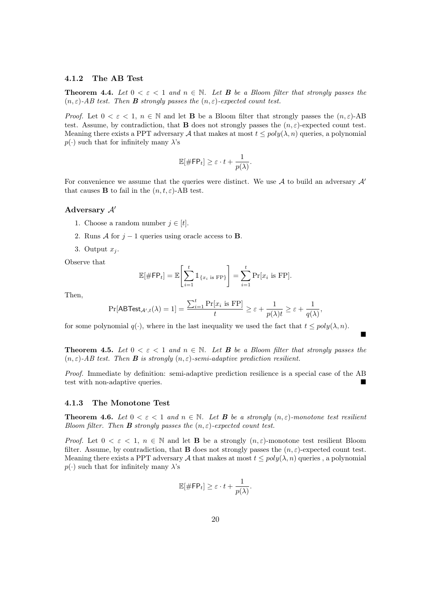### 4.1.2 The AB Test

<span id="page-19-1"></span>**Theorem 4.4.** Let  $0 < \varepsilon < 1$  and  $n \in \mathbb{N}$ . Let **B** be a Bloom filter that strongly passes the  $(n, \varepsilon)$ -AB test. Then **B** strongly passes the  $(n, \varepsilon)$ -expected count test.

*Proof.* Let  $0 < \varepsilon < 1$ ,  $n \in \mathbb{N}$  and let **B** be a Bloom filter that strongly passes the  $(n, \varepsilon)$ -AB test. Assume, by contradiction, that **B** does not strongly passes the  $(n, \varepsilon)$ -expected count test. Meaning there exists a PPT adversary A that makes at most  $t \leq poly(\lambda, n)$  queries, a polynomial  $p(\cdot)$  such that for infinitely many  $\lambda$ 's

$$
\mathbb{E}[\# \mathsf{FP}_t] \ge \varepsilon \cdot t + \frac{1}{p(\lambda)}.
$$

For convenience we assume that the queries were distinct. We use  $A$  to build an adversary  $A'$ that causes **B** to fail in the  $(n, t, \varepsilon)$ -AB test.

### Adversary  $A'$

- 1. Choose a random number  $j \in [t]$ .
- 2. Runs  $\mathcal A$  for  $j-1$  queries using oracle access to **B**.
- 3. Output  $x_i$ .

Observe that

$$
\mathbb{E}[\# \mathsf{FP}_t] = \mathbb{E}\left[\sum_{i=1}^t \mathbb{1}_{\{x_i \text{ is FP}\}}\right] = \sum_{i=1}^t \Pr[x_i \text{ is FP}].
$$

Then,

$$
\Pr[\mathsf{ABTest}_{\mathcal{A}',t}(\lambda) = 1] = \frac{\sum_{i=1}^{t} \Pr[x_i \text{ is } \mathsf{FP}]}{t} \ge \varepsilon + \frac{1}{p(\lambda)t} \ge \varepsilon + \frac{1}{q(\lambda)},
$$

for some polynomial  $q(\cdot)$ , where in the last inequality we used the fact that  $t \leq poly(\lambda, n)$ .

<span id="page-19-0"></span>**Theorem 4.5.** Let  $0 < \varepsilon < 1$  and  $n \in \mathbb{N}$ . Let **B** be a Bloom filter that strongly passes the  $(n, \varepsilon)$ -AB test. Then **B** is strongly  $(n, \varepsilon)$ -semi-adaptive prediction resilient.

■

Proof. Immediate by definition: semi-adaptive prediction resilience is a special case of the AB test with non-adaptive queries.

### 4.1.3 The Monotone Test

<span id="page-19-2"></span>**Theorem 4.6.** Let  $0 < \varepsilon < 1$  and  $n \in \mathbb{N}$ . Let **B** be a strongly  $(n, \varepsilon)$ -monotone test resilient Bloom filter. Then **B** strongly passes the  $(n, \varepsilon)$ -expected count test.

*Proof.* Let  $0 < \varepsilon < 1$ ,  $n \in \mathbb{N}$  and let **B** be a strongly  $(n, \varepsilon)$ -monotone test resilient Bloom filter. Assume, by contradiction, that **B** does not strongly passes the  $(n, \varepsilon)$ -expected count test. Meaning there exists a PPT adversary A that makes at most  $t \leq poly(\lambda, n)$  queries, a polynomial  $p(\cdot)$  such that for infinitely many  $\lambda$ 's

$$
\mathbb{E}[\# \mathsf{FP}_t] \ge \varepsilon \cdot t + \frac{1}{p(\lambda)}.
$$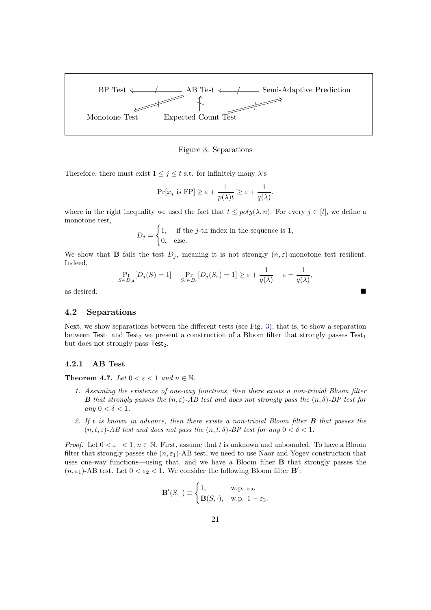

<span id="page-20-2"></span>Figure 3: Separations

Therefore, there must exist  $1 \leq j \leq t$  s.t. for infinitely many  $\lambda$ 's

$$
\Pr[x_j \text{ is FP}] \ge \varepsilon + \frac{1}{p(\lambda)t} \ge \varepsilon + \frac{1}{q(\lambda)}.
$$

where in the right inequality we used the fact that  $t \leq poly(\lambda, n)$ . For every  $j \in [t]$ , we define a monotone test,

$$
D_j = \begin{cases} 1, & \text{if the } j\text{-th index in the sequence is 1,} \\ 0, & \text{else.} \end{cases}
$$

We show that **B** fails the test  $D_i$ , meaning it is not strongly  $(n, \varepsilon)$ -monotone test resilient. Indeed,

$$
\Pr_{S \in D_{\mathcal{A}}}[D_j(S) = 1] - \Pr_{S_{\varepsilon} \in B_{\varepsilon}}[D_j(S_{\varepsilon}) = 1] \geq \varepsilon + \frac{1}{q(\lambda)} - \varepsilon = \frac{1}{q(\lambda)},
$$
 as desired.

### <span id="page-20-0"></span>4.2 Separations

Next, we show separations between the different tests (see Fig. [3\)](#page-20-2); that is, to show a separation between Test<sub>1</sub> and Test<sub>2</sub> we present a construction of a Bloom filter that strongly passes Test<sub>1</sub> but does not strongly pass Test<sub>2</sub>.

### 4.2.1 AB Test

<span id="page-20-1"></span>Theorem 4.7. Let  $0 < \varepsilon < 1$  and  $n \in \mathbb{N}$ .

- 1. Assuming the existence of one-way functions, then there exists a non-trivial Bloom filter **B** that strongly passes the  $(n, \varepsilon)$ -AB test and does not strongly pass the  $(n, \delta)$ -BP test for any  $0 < \delta < 1$ .
- 2. If t is known in advance, then there exists a non-trivial Bloom filter  $\bf{B}$  that passes the  $(n, t, \varepsilon)$ -AB test and does not pass the  $(n, t, \delta)$ -BP test for any  $0 < \delta < 1$ .

*Proof.* Let  $0 < \varepsilon_1 < 1$ ,  $n \in \mathbb{N}$ . First, assume that t is unknown and unbounded. To have a Bloom filter that strongly passes the  $(n, \varepsilon_1)$ -AB test, we need to use Naor and Yogev construction that uses one-way functions—using that, and we have a Bloom filter B that strongly passes the  $(n, \varepsilon_1)$ -AB test. Let  $0 < \varepsilon_2 < 1$ . We consider the following Bloom filter **B'**:

$$
\mathbf{B}'(S,\cdot) \equiv \begin{cases} 1, & \text{w.p. } \varepsilon_2, \\ \mathbf{B}(S,\cdot), & \text{w.p. } 1 - \varepsilon_2. \end{cases}
$$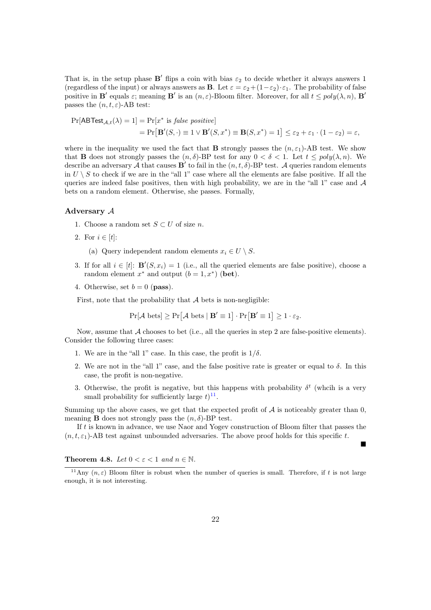That is, in the setup phase  $B'$  flips a coin with bias  $\varepsilon_2$  to decide whether it always answers 1 (regardless of the input) or always answers as **B**. Let  $\varepsilon = \varepsilon_2 + (1-\varepsilon_2) \cdot \varepsilon_1$ . The probability of false positive in **B'** equals  $\varepsilon$ ; meaning **B'** is an  $(n, \varepsilon)$ -Bloom filter. Moreover, for all  $t \leq poly(\lambda, n)$ , **B'** passes the  $(n, t, \varepsilon)$ -AB test:

$$
\Pr[\mathsf{ABTest}_{\mathcal{A},t}(\lambda) = 1] = \Pr[x^* \text{ is false positive}]
$$
  
= 
$$
\Pr[\mathbf{B}'(S, \cdot) \equiv 1 \vee \mathbf{B}'(S, x^*) \equiv \mathbf{B}(S, x^*) = 1] \le \varepsilon_2 + \varepsilon_1 \cdot (1 - \varepsilon_2) = \varepsilon,
$$

where in the inequality we used the fact that **B** strongly passes the  $(n, \varepsilon_1)$ -AB test. We show that **B** does not strongly passes the  $(n, \delta)$ -BP test for any  $0 < \delta < 1$ . Let  $t \leq poly(\lambda, n)$ . We describe an adversary A that causes  $\mathbf{B}'$  to fail in the  $(n, t, \delta)$ -BP test. A queries random elements in  $U \setminus S$  to check if we are in the "all 1" case where all the elements are false positive. If all the queries are indeed false positives, then with high probability, we are in the "all 1" case and  $A$ bets on a random element. Otherwise, she passes. Formally,

#### Adversary A

- 1. Choose a random set  $S \subset U$  of size n.
- 2. For  $i \in [t]$ :
	- (a) Query independent random elements  $x_i \in U \setminus S$ .
- 3. If for all  $i \in [t]$ :  $\mathbf{B}'(S, x_i) = 1$  (i.e., all the queried elements are false positive), choose a random element  $x^*$  and output  $(b = 1, x^*)$  (bet).
- 4. Otherwise, set  $b = 0$  (pass).

First, note that the probability that  $A$  bets is non-negligible:

 $Pr[\mathcal{A} \text{ bets}] \geq Pr[\mathcal{A} \text{ bets} | \mathbf{B}' \equiv 1] \cdot Pr[\mathbf{B}' \equiv 1] \geq 1 \cdot \varepsilon_2.$ 

Now, assume that  $A$  chooses to bet (i.e., all the queries in step 2 are false-positive elements). Consider the following three cases:

- 1. We are in the "all 1" case. In this case, the profit is  $1/\delta$ .
- 2. We are not in the "all 1" case, and the false positive rate is greater or equal to  $\delta$ . In this case, the profit is non-negative.
- 3. Otherwise, the profit is negative, but this happens with probability  $\delta^t$  (wheih is a very small probability for sufficiently large  $t$ <sup>[11](#page-21-1)</sup>.

Summing up the above cases, we get that the expected profit of  $A$  is noticeably greater than 0, meaning **B** does not strongly pass the  $(n, \delta)$ -BP test.

If t is known in advance, we use Naor and Yogev construction of Bloom filter that passes the  $(n, t, \varepsilon_1)$ -AB test against unbounded adversaries. The above proof holds for this specific t.

■

<span id="page-21-0"></span>Theorem 4.8. Let  $0 < \varepsilon < 1$  and  $n \in \mathbb{N}$ .

<span id="page-21-1"></span><sup>&</sup>lt;sup>11</sup>Any  $(n, \varepsilon)$  Bloom filter is robust when the number of queries is small. Therefore, if t is not large enough, it is not interesting.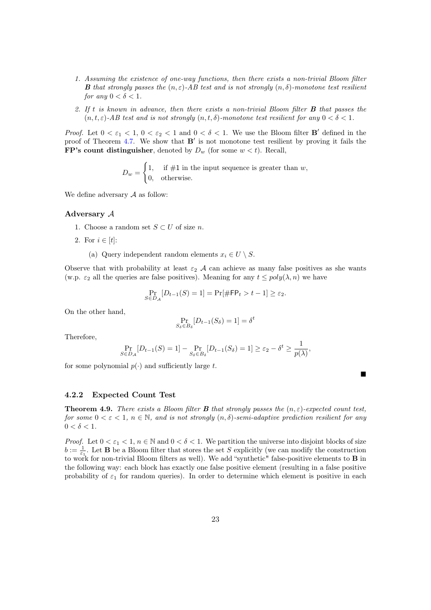- 1. Assuming the existence of one-way functions, then there exists a non-trivial Bloom filter **B** that strongly passes the  $(n, \varepsilon)$ -AB test and is not strongly  $(n, \delta)$ -monotone test resilient for any  $0 < \delta < 1$ .
- 2. If t is known in advance, then there exists a non-trivial Bloom filter  $\bf{B}$  that passes the  $(n, t, \varepsilon)$ -AB test and is not strongly  $(n, t, \delta)$ -monotone test resilient for any  $0 < \delta < 1$ .

*Proof.* Let  $0 < \varepsilon_1 < 1$ ,  $0 < \varepsilon_2 < 1$  and  $0 < \delta < 1$ . We use the Bloom filter **B'** defined in the proof of Theorem [4.7.](#page-20-1) We show that  $B'$  is not monotone test resilient by proving it fails the FP's count distinguisher, denoted by  $D_w$  (for some  $w < t$ ). Recall,

> $D_w =$  $\int 1$ , if #1 in the input sequence is greater than w, 0, otherwise.

We define adversary  $A$  as follow:

#### Adversary A

- 1. Choose a random set  $S \subset U$  of size n.
- 2. For  $i \in [t]$ :
	- (a) Query independent random elements  $x_i \in U \setminus S$ .

Observe that with probability at least  $\varepsilon_2$  A can achieve as many false positives as she wants (w.p.  $\varepsilon_2$  all the queries are false positives). Meaning for any  $t \leq poly(\lambda, n)$  we have

$$
\Pr_{S \in D_{\mathcal{A}}}[D_{t-1}(S) = 1] = \Pr[\# \mathsf{FP}_t > t-1] \ge \varepsilon_2.
$$

On the other hand,

$$
\Pr_{S_{\delta} \in B_{\delta}}[D_{t-1}(S_{\delta}) = 1] = \delta^{t}
$$

Therefore,

$$
\Pr_{S \in D_{\mathcal{A}}}[D_{t-1}(S) = 1] - \Pr_{S_{\delta} \in B_{\delta}}[D_{t-1}(S_{\delta}) = 1] \ge \varepsilon_2 - \delta^{t} \ge \frac{1}{p(\lambda)},
$$

■

for some polynomial  $p(\cdot)$  and sufficiently large t.

### 4.2.2 Expected Count Test

<span id="page-22-0"></span>**Theorem 4.9.** There exists a Bloom filter **B** that strongly passes the  $(n, \varepsilon)$ -expected count test, for some  $0 < \varepsilon < 1$ ,  $n \in \mathbb{N}$ , and is not strongly  $(n, \delta)$ -semi-adaptive prediction resilient for any  $0 < \delta < 1$ .

*Proof.* Let  $0 < \varepsilon_1 < 1$ ,  $n \in \mathbb{N}$  and  $0 < \delta < 1$ . We partition the universe into disjoint blocks of size  $b := \frac{1}{\varepsilon_1}$ . Let **B** be a Bloom filter that stores the set S explicitly (we can modify the construction to work for non-trivial Bloom filters as well). We add "synthetic" false-positive elements to B in the following way: each block has exactly one false positive element (resulting in a false positive probability of  $\varepsilon_1$  for random queries). In order to determine which element is positive in each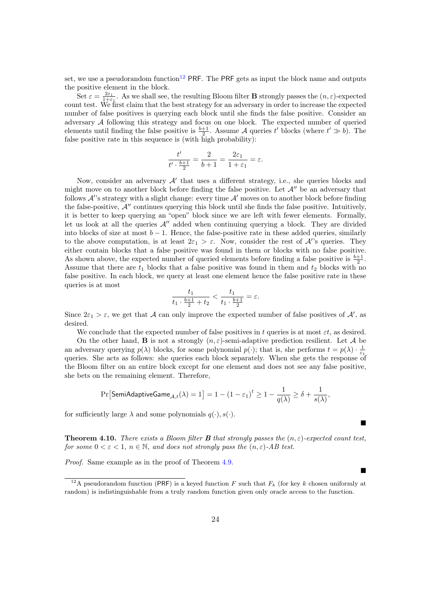set, we use a pseudorandom function<sup>[12](#page-23-1)</sup> PRF. The PRF gets as input the block name and outputs the positive element in the block.

Set  $\varepsilon = \frac{2\varepsilon_1}{1+\varepsilon_1}$ . As we shall see, the resulting Bloom filter **B** strongly passes the  $(n,\varepsilon)$ -expected count test. We first claim that the best strategy for an adversary in order to increase the expected number of false positives is querying each block until she finds the false positive. Consider an adversary A following this strategy and focus on one block. The expected number of queried elements until finding the false positive is  $\frac{b+1}{2}$ . Assume A queries t' blocks (where  $t' \gg b$ ). The false positive rate in this sequence is (with high probability):

$$
\frac{t'}{t'\cdot\frac{b+1}{2}}=\frac{2}{b+1}=\frac{2\varepsilon_1}{1+\varepsilon_1}=\varepsilon.
$$

Now, consider an adversary  $A'$  that uses a different strategy, i.e., she queries blocks and might move on to another block before finding the false positive. Let  $\mathcal{A}''$  be an adversary that follows  $\mathcal{A}$ 's strategy with a slight change: every time  $\mathcal{A}'$  moves on to another block before finding the false-positive,  $\mathcal{A}^{\prime\prime}$  continues querying this block until she finds the false positive. Intuitively, it is better to keep querying an "open" block since we are left with fewer elements. Formally, let us look at all the queries  $A''$  added when continuing querying a block. They are divided into blocks of size at most  $b - 1$ . Hence, the false-positive rate in these added queries, similarly to the above computation, is at least  $2\varepsilon_1 > \varepsilon$ . Now, consider the rest of A''s queries. They either contain blocks that a false positive was found in them or blocks with no false positive. As shown above, the expected number of queried elements before finding a false positive is  $\frac{b+1}{2}$ . Assume that there are  $t_1$  blocks that a false positive was found in them and  $t_2$  blocks with no false positive. In each block, we query at least one element hence the false positive rate in these queries is at most

$$
\frac{t_1}{t_1 \cdot \frac{b+1}{2} + t_2} < \frac{t_1}{t_1 \cdot \frac{b+1}{2}} = \varepsilon.
$$

Since  $2\varepsilon_1 > \varepsilon$ , we get that A can only improve the expected number of false positives of A', as desired.

We conclude that the expected number of false positives in t queries is at most  $\varepsilon t$ , as desired.

On the other hand, **B** is not a strongly  $(n, \varepsilon)$ -semi-adaptive prediction resilient. Let A be an adversary querying  $p(\lambda)$  blocks, for some polynomial  $p(\cdot)$ ; that is, she performs  $t = p(\lambda) \cdot \frac{1}{\varepsilon_1}$ queries. She acts as follows: she queries each block separately. When she gets the response of the Bloom filter on an entire block except for one element and does not see any false positive, she bets on the remaining element. Therefore,

$$
\Pr\big[\mathsf{SemiAdaptiveGame}_{\mathcal{A},t}(\lambda) = 1\big] = 1 - \left(1 - \varepsilon_1\right)^t \geq 1 - \frac{1}{q(\lambda)} \geq \delta + \frac{1}{s(\lambda)},
$$

for sufficiently large  $\lambda$  and some polynomials  $q(\cdot), s(\cdot)$ .

<span id="page-23-0"></span>**Theorem 4.10.** There exists a Bloom filter **B** that strongly passes the  $(n, \varepsilon)$ -expected count test, for some  $0 < \varepsilon < 1$ ,  $n \in \mathbb{N}$ , and does not strongly pass the  $(n, \varepsilon)$ -AB test.

■

■

Proof. Same example as in the proof of Theorem [4.9.](#page-22-0)

<span id="page-23-1"></span><sup>&</sup>lt;sup>12</sup>A pseudorandom function (PRF) is a keyed function F such that  $F_k$  (for key k chosen uniformly at random) is indistinguishable from a truly random function given only oracle access to the function.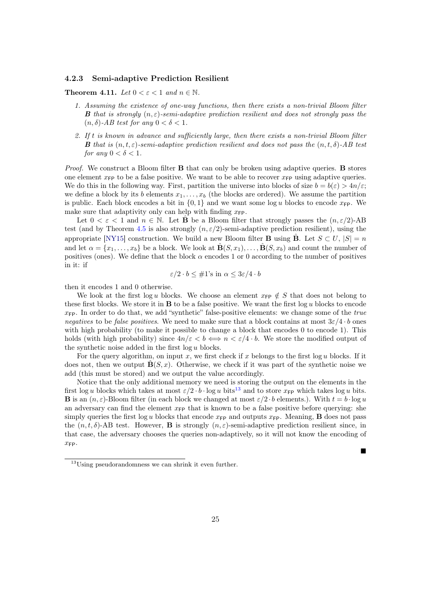#### 4.2.3 Semi-adaptive Prediction Resilient

<span id="page-24-1"></span>Theorem 4.11. Let  $0 < \varepsilon < 1$  and  $n \in \mathbb{N}$ .

- 1. Assuming the existence of one-way functions, then there exists a non-trivial Bloom filter **B** that is strongly  $(n, \varepsilon)$ -semi-adaptive prediction resilient and does not strongly pass the  $(n, \delta)$ -AB test for any  $0 < \delta < 1$ .
- 2. If t is known in advance and sufficiently large, then there exists a non-trivial Bloom filter **B** that is  $(n, t, \varepsilon)$ -semi-adaptive prediction resilient and does not pass the  $(n, t, \delta)$ -AB test for any  $0 < \delta < 1$ .

*Proof.* We construct a Bloom filter  $\bf{B}$  that can only be broken using adaptive queries.  $\bf{B}$  stores one element  $x_{FP}$  to be a false positive. We want to be able to recover  $x_{FP}$  using adaptive queries. We do this in the following way. First, partition the universe into blocks of size  $b = b(\varepsilon) > 4n/\varepsilon$ ; we define a block by its b elements  $x_1, \ldots, x_b$  (the blocks are ordered). We assume the partition is public. Each block encodes a bit in  $\{0, 1\}$  and we want some log u blocks to encode  $x_{\text{FP}}$ . We make sure that adaptivity only can help with finding  $x_{\text{FP}}$ .

Let  $0 < \varepsilon < 1$  and  $n \in \mathbb{N}$ . Let **B** be a Bloom filter that strongly passes the  $(n, \varepsilon/2)$ -AB test (and by Theorem [4.5](#page-19-0) is also strongly  $(n, \varepsilon/2)$ -semi-adaptive prediction resilient), using the appropriate [\[NY15\]](#page-29-1) construction. We build a new Bloom filter **B** using  $\hat{\mathbf{B}}$ . Let  $S \subset U$ ,  $|S| = n$ and let  $\alpha = \{x_1, \ldots, x_b\}$  be a block. We look at  $\hat{\mathbf{B}}(S, x_1), \ldots, \hat{\mathbf{B}}(S, x_b)$  and count the number of positives (ones). We define that the block  $\alpha$  encodes 1 or 0 according to the number of positives in it: if

$$
\varepsilon/2 \cdot b \leq \#1
$$
's in  $\alpha \leq 3\varepsilon/4 \cdot b$ 

then it encodes 1 and 0 otherwise.

We look at the first log u blocks. We choose an element  $x_{\text{FP}} \notin S$  that does not belong to these first blocks. We store it in  $\bf{B}$  to be a false positive. We want the first  $\log u$  blocks to encode  $x_{\text{FP}}$ . In order to do that, we add "synthetic" false-positive elements: we change some of the true negatives to be false positives. We need to make sure that a block contains at most  $3\varepsilon/4 \cdot b$  ones with high probability (to make it possible to change a block that encodes 0 to encode 1). This holds (with high probability) since  $4n/\varepsilon < b \Longleftrightarrow n < \varepsilon/4 \cdot b$ . We store the modified output of the synthetic noise added in the first  $log u$  blocks.

For the query algorithm, on input x, we first check if x belongs to the first  $log u$  blocks. If it does not, then we output  $\mathbf{B}(S, x)$ . Otherwise, we check if it was part of the synthetic noise we add (this must be stored) and we output the value accordingly.

Notice that the only additional memory we need is storing the output on the elements in the first log u blocks which takes at most  $\varepsilon/2 \cdot b \cdot \log u$  bits<sup>[13](#page-24-2)</sup> and to store  $x_{\text{FP}}$  which takes log u bits. **B** is an  $(n, \varepsilon)$ -Bloom filter (in each block we changed at most  $\varepsilon/2 \cdot b$  elements.). With  $t = b \cdot \log u$ an adversary can find the element  $x_{FP}$  that is known to be a false positive before querying: she simply queries the first log u blocks that encode  $x_{FP}$  and outputs  $x_{FP}$ . Meaning, **B** does not pass the  $(n, t, \delta)$ -AB test. However, **B** is strongly  $(n, \varepsilon)$ -semi-adaptive prediction resilient since, in that case, the adversary chooses the queries non-adaptively, so it will not know the encoding of  $x_{\text{FP}}$ .

■

<span id="page-24-2"></span><span id="page-24-0"></span><sup>&</sup>lt;sup>13</sup>Using pseudorandomness we can shrink it even further.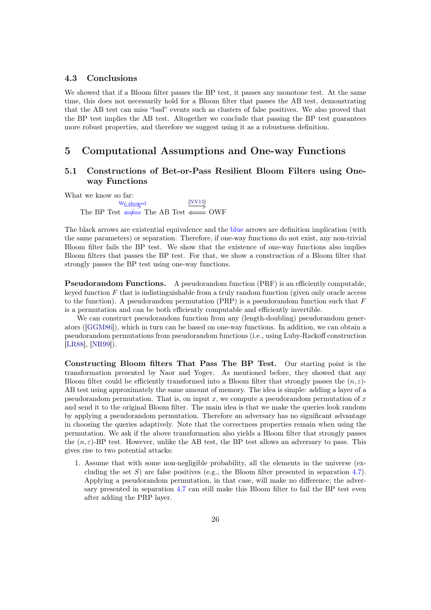## 4.3 Conclusions

We showed that if a Bloom filter passes the BP test, it passes any monotone test. At the same time, this does not necessarily hold for a Bloom filter that passes the AB test, demonstrating that the AB test can miss "bad" events such as clusters of false positives. We also proved that the BP test implies the AB test. Altogether we conclude that passing the BP test guarantees more robust properties, and therefore we suggest using it as a robustness definition.

# <span id="page-25-0"></span>5 Computational Assumptions and One-way Functions

# <span id="page-25-1"></span>5.1 Constructions of Bet-or-Pass Resilient Bloom Filters using Oneway Functions

What we know so far:

The BP Test  $\Longleftarrow$  The AB Test  $\Longleftarrow$  OWF We showed [\[NY15\]](#page-29-1) /

The black arrows are existential equivalence and the blue arrows are definition implication (with the same parameters) or separation. Therefore, if one-way functions do not exist, any non-trivial Bloom filter fails the BP test. We show that the existence of one-way functions also implies Bloom filters that passes the BP test. For that, we show a construction of a Bloom filter that strongly passes the BP test using one-way functions.

Pseudorandom Functions. A pseudorandom function (PRF) is an efficiently computable, keyed function  $F$  that is indistinguishable from a truly random function (given only oracle access to the function). A pseudorandom permutation (PRP) is a pseudorandom function such that  $F$ is a permutation and can be both efficiently computable and efficiently invertible.

We can construct pseudorandom function from any (length-doubling) pseudorandom generators ([\[GGM86\]](#page-29-11)), which in turn can be based on one-way functions. In addition, we can obtain a pseudorandom permutations from pseudorandom functions (i.e., using Luby-Rackoff construction [\[LR88\]](#page-29-12), [\[NR99\]](#page-29-13)).

Constructing Bloom filters That Pass The BP Test. Our starting point is the transformation presented by Naor and Yogev. As mentioned before, they showed that any Bloom filter could be efficiently transformed into a Bloom filter that strongly passes the  $(n, \varepsilon)$ -AB test using approximately the same amount of memory. The idea is simple: adding a layer of a pseudorandom permutation. That is, on input  $x$ , we compute a pseudorandom permutation of  $x$ and send it to the original Bloom filter. The main idea is that we make the queries look random by applying a pseudorandom permutation. Therefore an adversary has no significant advantage in choosing the queries adaptively. Note that the correctness properties remain when using the permutation. We ask if the above transformation also yields a Bloom filter that strongly passes the  $(n, \varepsilon)$ -BP test. However, unlike the AB test, the BP test allows an adversary to pass. This gives rise to two potential attacks:

1. Assume that with some non-negligible probability, all the elements in the universe (excluding the set  $S$ ) are false positives (e.g., the Bloom filter presented in separation [4.7\)](#page-20-1). Applying a pseudorandom permutation, in that case, will make no difference; the adversary presented in separation [4.7](#page-20-1) can still make this Bloom filter to fail the BP test even after adding the PRP layer.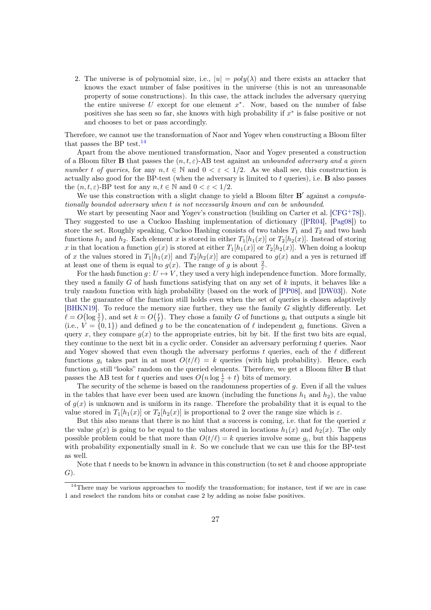2. The universe is of polynomial size, i.e.,  $|u| = poly(\lambda)$  and there exists an attacker that knows the exact number of false positives in the universe (this is not an unreasonable property of some constructions). In this case, the attack includes the adversary querying the entire universe  $U$  except for one element  $x^*$ . Now, based on the number of false positives she has seen so far, she knows with high probability if  $x^*$  is false positive or not and chooses to bet or pass accordingly.

Therefore, we cannot use the transformation of Naor and Yogev when constructing a Bloom filter that passes the BP test. $14$ 

Apart from the above mentioned transformation, Naor and Yogev presented a construction of a Bloom filter **B** that passes the  $(n, t, \varepsilon)$ -AB test against an unbounded adversary and a given number t of queries, for any  $n, t \in \mathbb{N}$  and  $0 < \varepsilon < 1/2$ . As we shall see, this construction is actually also good for the BP-test (when the adversary is limited to  $t$  queries), i.e.  $\bf{B}$  also passes the  $(n, t, \varepsilon)$ -BP test for any  $n, t \in \mathbb{N}$  and  $0 < \varepsilon < 1/2$ .

We use this construction with a slight change to yield a Bloom filter  $B'$  against a *computa*tionally bounded adversary when t is not necessarily known and can be unbounded.

We start by presenting Naor and Yogev's construction (building on Carter et al. [\[CFG](#page-28-3)+78]). They suggested to use a Cuckoo Hashing implementation of dictionary ([\[PR04\]](#page-29-14), [\[Pag08\]](#page-29-15)) to store the set. Roughly speaking, Cuckoo Hashing consists of two tables  $T_1$  and  $T_2$  and two hash functions  $h_1$  and  $h_2$ . Each element x is stored in either  $T_1[h_1(x)]$  or  $T_2[h_2(x)]$ . Instead of storing x in that location a function  $g(x)$  is stored at either  $T_1[h_1(x)]$  or  $T_2[h_2(x)]$ . When doing a lookup of x the values stored in  $T_1[h_1(x)]$  and  $T_2[h_2(x)]$  are compared to  $g(x)$  and a yes is returned iff at least one of them is equal to  $g(x)$ . The range of g is about  $\frac{2}{\varepsilon}$ .

For the hash function  $g: U \mapsto V$ , they used a very high independence function. More formally, they used a family  $G$  of hash functions satisfying that on any set of  $k$  inputs, it behaves like a truly random function with high probability (based on the work of [\[PP08\]](#page-29-16), and [\[DW03\]](#page-29-17)). Note that the guarantee of the function still holds even when the set of queries is chosen adaptively [\[BHKN19\]](#page-28-5). To reduce the memory size further, they use the family G slightly differently. Let  $\ell = O(\log \frac{1}{\varepsilon})$ , and set  $k = O(\frac{t}{\ell})$ . They chose a family G of functions  $g_i$  that outputs a single bit (i.e.,  $V = \{0, 1\}$ ) and defined g to be the concatenation of  $\ell$  independent  $g_i$  functions. Given a query x, they compare  $g(x)$  to the appropriate entries, bit by bit. If the first two bits are equal, they continue to the next bit in a cyclic order. Consider an adversary performing  $t$  queries. Naor and Yogev showed that even though the adversary performs t queries, each of the  $\ell$  different functions  $g_i$  takes part in at most  $O(t/\ell) = k$  queries (with high probability). Hence, each function  $g_i$  still "looks" random on the queried elements. Therefore, we get a Bloom filter **B** that passes the AB test for t queries and uses  $O(n \log \frac{1}{\varepsilon} + t)$  bits of memory.

The security of the scheme is based on the randomness properties of  $g$ . Even if all the values in the tables that have ever been used are known (including the functions  $h_1$  and  $h_2$ ), the value of  $q(x)$  is unknown and is uniform in its range. Therefore the probability that it is equal to the value stored in  $T_1[h_1(x)]$  or  $T_2[h_2(x)]$  is proportional to 2 over the range size which is  $\varepsilon$ .

But this also means that there is no hint that a success is coming, i.e. that for the queried  $x$ the value  $g(x)$  is going to be equal to the values stored in locations  $h_1(x)$  and  $h_2(x)$ . The only possible problem could be that more than  $O(t/\ell) = k$  queries involve some  $g_i$ , but this happens with probability exponentially small in  $k$ . So we conclude that we can use this for the BP-test as well.

Note that t needs to be known in advance in this construction (to set  $k$  and choose appropriate  $G$ ).

<span id="page-26-0"></span> $14$ There may be various approaches to modify the transformation; for instance, test if we are in case 1 and reselect the random bits or combat case 2 by adding as noise false positives.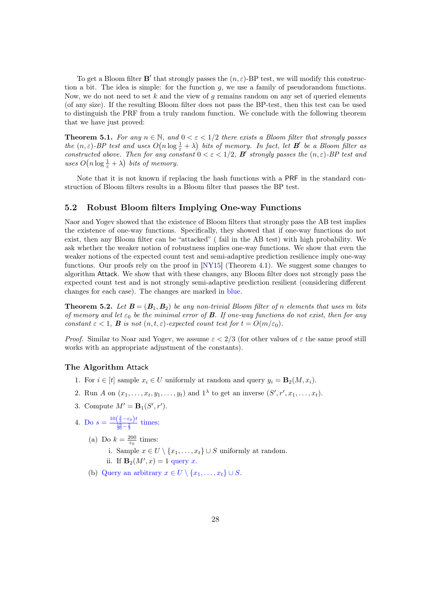To get a Bloom filter **B'** that strongly passes the  $(n, \varepsilon)$ -BP test, we will modify this construction a bit. The idea is simple: for the function q, we use a family of pseudorandom functions. Now, we do not need to set k and the view of q remains random on any set of queried elements (of any size). If the resulting Bloom filter does not pass the BP-test, then this test can be used to distinguish the PRF from a truly random function. We conclude with the following theorem that we have just proved:

**Theorem 5.1.** For any  $n \in \mathbb{N}$ , and  $0 < \varepsilon < 1/2$  there exists a Bloom filter that strongly passes the  $(n, \varepsilon)$ -BP test and uses  $O(n \log \frac{1}{\varepsilon} + \lambda)$  bits of memory. In fact, let **B'** be a Bloom filter as constructed above. Then for any constant  $0 < \varepsilon < 1/2$ , B' strongly passes the  $(n, \varepsilon)$ -BP test and uses  $O(n \log \frac{1}{\varepsilon} + \lambda)$  bits of memory.

Note that it is not known if replacing the hash functions with a PRF in the standard construction of Bloom filters results in a Bloom filter that passes the BP test.

### <span id="page-27-0"></span>5.2 Robust Bloom filters Implying One-way Functions

Naor and Yogev showed that the existence of Bloom filters that strongly pass the AB test implies the existence of one-way functions. Specifically, they showed that if one-way functions do not exist, then any Bloom filter can be "attacked" ( fail in the AB test) with high probability. We ask whether the weaker notion of robustness implies one-way functions. We show that even the weaker notions of the expected count test and semi-adaptive prediction resilience imply one-way functions. Our proofs rely on the proof in [\[NY15\]](#page-29-1) (Theorem 4.1). We suggest some changes to algorithm Attack. We show that with these changes, any Bloom filter does not strongly pass the expected count test and is not strongly semi-adaptive prediction resilient (considering different changes for each case). The changes are marked in blue.

**Theorem 5.2.** Let  $B = (B_1, B_2)$  be any non-trivial Bloom filter of n elements that uses m bits of memory and let  $\varepsilon_0$  be the minimal error of **B**. If one-way functions do not exist, then for any constant  $\varepsilon < 1$ , **B** is not  $(n, t, \varepsilon)$ -expected count test for  $t = O(m/\varepsilon_0)$ .

*Proof.* Similar to Noar and Yogev, we assume  $\varepsilon < 2/3$  (for other values of  $\varepsilon$  the same proof still works with an appropriate adjustment of the constants).

### The Algorithm Attack

- 1. For  $i \in [t]$  sample  $x_i \in U$  uniformly at random and query  $y_i = \mathbf{B}_2(M, x_i)$ .
- 2. Run A on  $(x_1, \ldots, x_t, y_1, \ldots, y_t)$  and  $1^{\lambda}$  to get an inverse  $(S', r', x_1, \ldots, x_t)$ .
- 3. Compute  $M' = \mathbf{B}_1(S', r').$
- 4. Do  $s = \frac{10(\frac{2}{3} \varepsilon_0)t}{\frac{19}{20} \frac{2}{3}}$  times:
	- (a) Do  $k = \frac{200}{\varepsilon_0}$  times: i. Sample  $x \in U \setminus \{x_1, \ldots, x_t\} \cup S$  uniformly at random. ii. If  $\mathbf{B}_2(M',x) = 1$  query x.
		- (b) Query an arbitrary  $x \in U \setminus \{x_1, \ldots, x_t\} \cup S$ .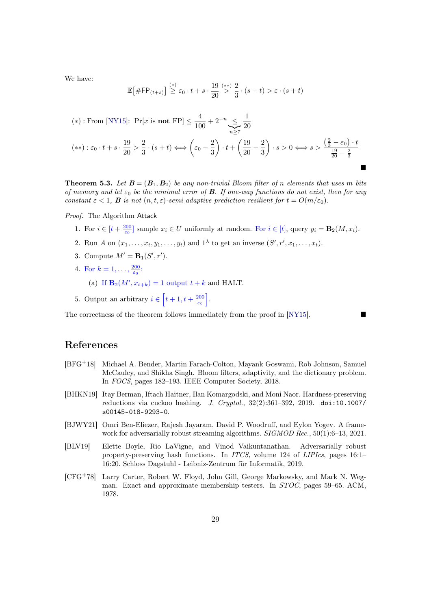We have:

$$
\mathbb{E}\big[\#\mathsf{FP}_{(t+s)}\big] \stackrel{(*)}{\ge} \varepsilon_0 \cdot t + s \cdot \frac{19}{20} \stackrel{(**)}{\ge} \frac{2}{3}\cdot (s+t) > \varepsilon \cdot (s+t)
$$

$$
(*) : \text{From [NY15]}: \text{ Pr}[x \text{ is not FP}] \le \frac{4}{100} + 2^{-n} \underbrace{\le}_{n \ge 7} \frac{1}{20}
$$
\n
$$
(**) : \varepsilon_0 \cdot t + s \cdot \frac{19}{20} > \frac{2}{3} \cdot (s+t) \Longleftrightarrow \left(\varepsilon_0 - \frac{2}{3}\right) \cdot t + \left(\frac{19}{20} - \frac{2}{3}\right) \cdot s > 0 \Longleftrightarrow s > \frac{\left(\frac{2}{3} - \varepsilon_0\right) \cdot t}{\frac{19}{20} - \frac{2}{3}}
$$

**Theorem 5.3.** Let  $B = (B_1, B_2)$  be any non-trivial Bloom filter of n elements that uses m bits of memory and let  $\varepsilon_0$  be the minimal error of **B**. If one-way functions do not exist, then for any constant  $\varepsilon < 1$ , **B** is not  $(n, t, \varepsilon)$ -semi adaptive prediction resilient for  $t = O(m/\varepsilon_0)$ .

Proof. The Algorithm Attack

- 1. For  $i \in [t + \frac{200}{\varepsilon_0}]$  sample  $x_i \in U$  uniformly at random. For  $i \in [t]$ , query  $y_i = \mathbf{B}_2(M, x_i)$ .
- 2. Run A on  $(x_1, \ldots, x_t, y_1, \ldots, y_t)$  and  $1^{\lambda}$  to get an inverse  $(S', r', x_1, \ldots, x_t)$ .
- 3. Compute  $M' = \mathbf{B}_1(S', r').$
- 4. For  $k = 1, ..., \frac{200}{\varepsilon_0}$ :
	- (a) If  $\mathbf{B}_2(M', x_{t+k}) = 1$  output  $t+k$  and HALT.
- <span id="page-28-0"></span>5. Output an arbitrary  $i \in \left[ t+1, t+\frac{200}{\varepsilon_0} \right]$ .

The correctness of the theorem follows immediately from the proof in  $[NY15]$ .

# References

- <span id="page-28-1"></span>[BFG<sup>+</sup>18] Michael A. Bender, Martin Farach-Colton, Mayank Goswami, Rob Johnson, Samuel McCauley, and Shikha Singh. Bloom filters, adaptivity, and the dictionary problem. In FOCS, pages 182–193. IEEE Computer Society, 2018.
- <span id="page-28-5"></span>[BHKN19] Itay Berman, Iftach Haitner, Ilan Komargodski, and Moni Naor. Hardness-preserving reductions via cuckoo hashing. *J. Cryptol.*,  $32(2):361-392$ ,  $2019$ . [doi:10.1007/](https://doi.org/10.1007/s00145-018-9293-0) [s00145-018-9293-0](https://doi.org/10.1007/s00145-018-9293-0).
- <span id="page-28-2"></span>[BJWY21] Omri Ben-Eliezer, Rajesh Jayaram, David P. Woodruff, and Eylon Yogev. A framework for adversarially robust streaming algorithms. SIGMOD Rec.,  $50(1)$ :6-13, 2021.
- <span id="page-28-4"></span>[BLV19] Elette Boyle, Rio LaVigne, and Vinod Vaikuntanathan. Adversarially robust property-preserving hash functions. In ITCS, volume 124 of LIPIcs, pages 16:1– 16:20. Schloss Dagstuhl - Leibniz-Zentrum für Informatik, 2019.
- <span id="page-28-3"></span>[CFG<sup>+</sup>78] Larry Carter, Robert W. Floyd, John Gill, George Markowsky, and Mark N. Wegman. Exact and approximate membership testers. In STOC, pages 59–65. ACM, 1978.